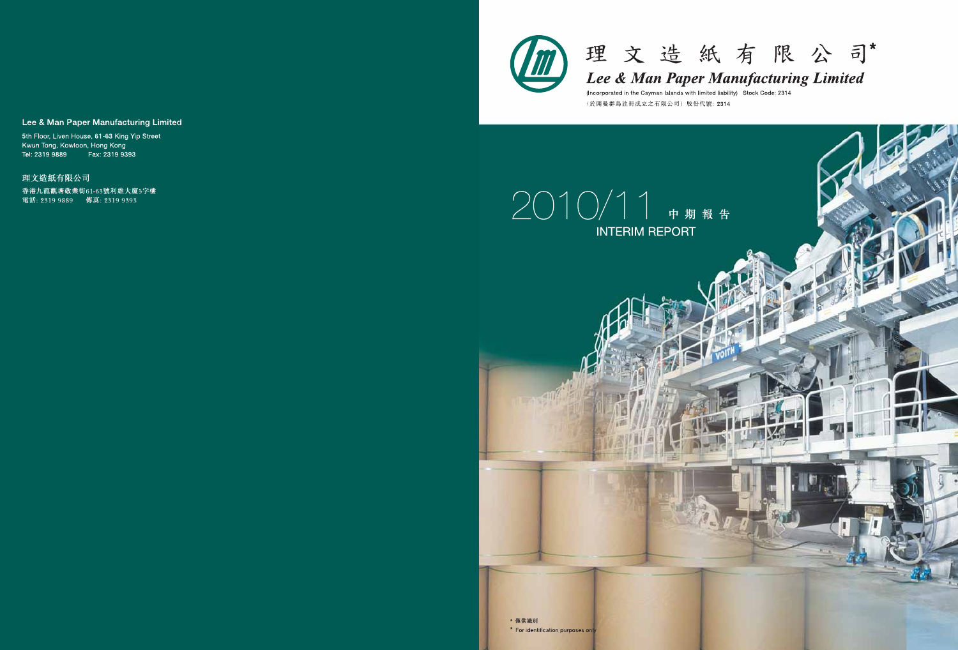



Lee & Man Paper Manufacturing Limited

(Incorporated in the Cayman Islands with limited liability) Stock Code: 2314 (於開曼群島註冊成立之有限公司)股份代號: 2314

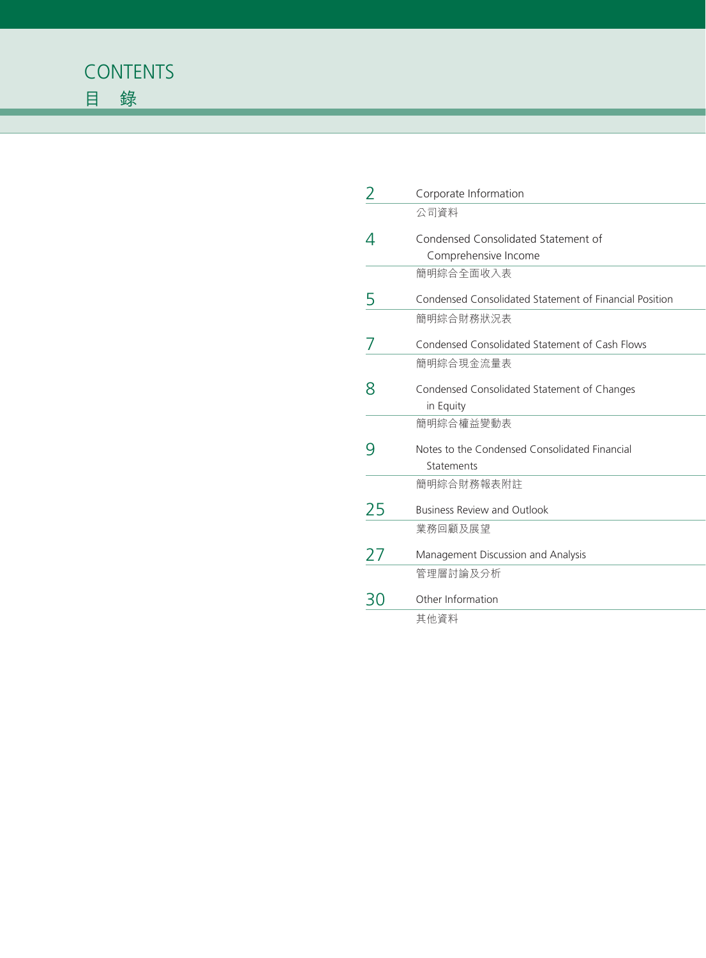

| 2    | Corporate Information                                       |
|------|-------------------------------------------------------------|
|      | 公司資料                                                        |
|      | Condensed Consolidated Statement of<br>Comprehensive Income |
|      | 簡明綜合全面收入表                                                   |
|      | Condensed Consolidated Statement of Financial Position      |
|      | 簡明綜合財務狀況表                                                   |
|      | Condensed Consolidated Statement of Cash Flows              |
|      | 簡明綜合現金流量表                                                   |
| 8    | Condensed Consolidated Statement of Changes<br>in Equity    |
|      | 簡明綜合權益變動表                                                   |
|      | Notes to the Condensed Consolidated Financial<br>Statements |
|      | 簡明綜合財務報表附註                                                  |
| 25   | <b>Business Review and Outlook</b>                          |
|      | 業務回顧及展望                                                     |
| 27   | Management Discussion and Analysis                          |
|      | 管理層討論及分析                                                    |
| ל \ל | Other Information                                           |
|      | 其他資料                                                        |
|      |                                                             |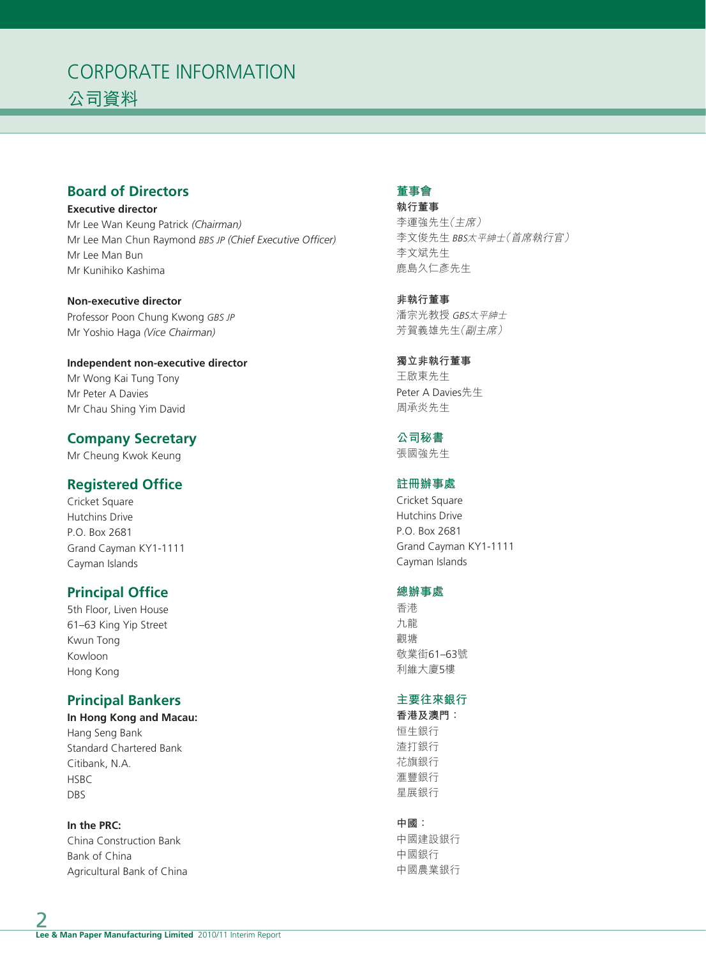# CORPORATE INFORMATION 公司資料

# **Board of Directors**

**Executive director** Mr Lee Wan Keung Patrick *(Chairman)* Mr Lee Man Chun Raymond *BBS JP (Chief Executive Officer)* Mr Lee Man Bun Mr Kunihiko Kashima

**Non-executive director** Professor Poon Chung Kwong *GBS JP* Mr Yoshio Haga *(Vice Chairman)*

**Independent non-executive director** Mr Wong Kai Tung Tony Mr Peter A Davies Mr Chau Shing Yim David

# **Company Secretary**

Mr Cheung Kwok Keung

# **Registered Office**

Cricket Square Hutchins Drive P.O. Box 2681 Grand Cayman KY1-1111 Cayman Islands

# **Principal Office**

5th Floor, Liven House 61–63 King Yip Street Kwun Tong Kowloon Hong Kong

# **Principal Bankers**

**In Hong Kong and Macau:** Hang Seng Bank Standard Chartered Bank Citibank, N.A. **HSBC** DBS

**In the PRC:** China Construction Bank Bank of China Agricultural Bank of China

# **董事會**

**執行董事** 李運強先生(主席) 李文俊先生 BBS太平紳士(首席執行官) 李文斌先生 鹿島久仁彥先生

**非執行董事** 潘宗光教授 GBS太平紳士 芳賀義雄先生(副主席)

**獨立非執行董事** 王啟東先生 Peter A Davies先生 周承炎先生

**公司秘書**

張國強先生

# **註冊辦事處**

Cricket Square Hutchins Drive P.O. Box 2681 Grand Cayman KY1-1111 Cayman Islands

#### **總辦事處**

香港 九龍 觀塘 敬業街61–63號 利維大廈5樓

#### **主要往來銀行**

**香港及澳門:** 恒生銀行 渣打銀行 花旗銀行 滙豐銀行 星展銀行

#### **中國:**

中國建設銀行 中國銀行 中國農業銀行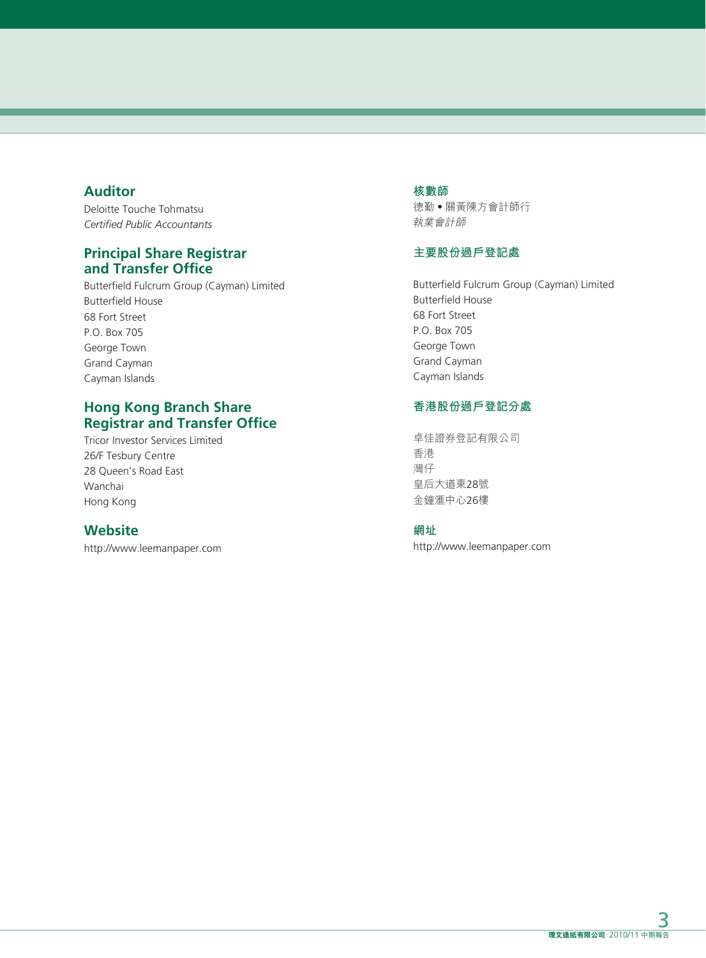# **Auditor**

Deloitte Touche Tohmatsu *Certified Public Accountants*

# **Principal Share Registrar and Transfer Office**

Butterfield Fulcrum Group (Cayman) Limited Butterfield House 68 Fort Street P.O. Box 705 George Town Grand Cayman Cayman Islands

# **Hong Kong Branch Share Registrar and Transfer Office**

Tricor Investor Services Limited 26/F Tesbury Centre 28 Queen's Road East Wanchai Hong Kong

# **Website**

http://www.leemanpaper.com

### **核數師**

德勤‧關黃陳方會計師行 執業會計師

# **主要股份過戶登記處**

Butterfield Fulcrum Group (Cayman) Limited Butterfield House 68 Fort Street P.O. Box 705 George Town Grand Cayman Cayman Islands

# **香港股份過戶登記分處**

卓佳證券登記有限公司 香港 灣仔 皇后大道東28號 金鐘滙中心26樓

### **網址**

http://www.leemanpaper.com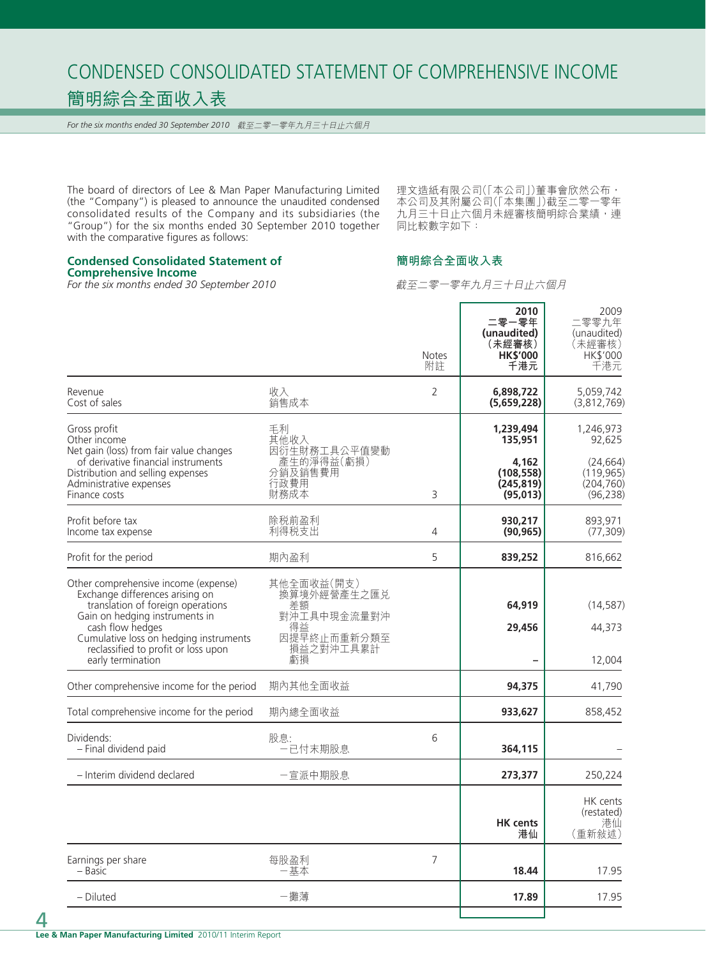# CONDENSED CONSOLIDATED STATEMENT OF COMPREHENSIVE INCOME 簡明綜合全面收入表

*For the six months ended 30 September 2010* 截至二零一零年九月三十日止六個月

The board of directors of Lee & Man Paper Manufacturing Limited (the "Company") is pleased to announce the unaudited condensed consolidated results of the Company and its subsidiaries (the "Group") for the six months ended 30 September 2010 together with the comparative figures as follows:

理文造紙有限公司( | 本公司 | ) 董事會欣然公布, 本公司及其附屬公司(「本集團」)截至二零一零年 九月三十日止六個月未經審核簡明綜合業績,連 同比較數字如下:

### **簡明綜合全面收入表**

**Comprehensive Income** *For the six months ended 30 September 2010*

**Condensed Consolidated Statement of**

截至二零一零年九月三十日止六個月

|                                                                                                                                                                                                                                                                          |                                                                                        | <b>Notes</b><br>附註 | 2010<br>二零一零年<br>(unaudited)<br>(未經審核)<br><b>HK\$'000</b><br>千港元 | 2009<br>二零零九年<br>(unaudited)<br>(未經審核)<br>HK\$'000<br>千港元 |
|--------------------------------------------------------------------------------------------------------------------------------------------------------------------------------------------------------------------------------------------------------------------------|----------------------------------------------------------------------------------------|--------------------|------------------------------------------------------------------|-----------------------------------------------------------|
| Revenue<br>Cost of sales                                                                                                                                                                                                                                                 | 收入<br>銷售成本                                                                             | $\overline{2}$     | 6,898,722<br>(5,659,228)                                         | 5,059,742<br>(3,812,769)                                  |
| Gross profit<br>Other income                                                                                                                                                                                                                                             | 手利<br>其他收入                                                                             |                    | 1,239,494<br>135,951                                             | 1,246,973<br>92,625                                       |
| Net gain (loss) from fair value changes<br>of derivative financial instruments<br>Distribution and selling expenses<br>Administrative expenses<br>Finance costs                                                                                                          | 因衍生財務工具公平值變動<br>- 產生的淨得益(虧損)<br>分銷及銷售費用<br>行政費用<br>財務成本                                | 3                  | 4,162<br>(108, 558)<br>(245, 819)<br>(95,013)                    | (24, 664)<br>(119, 965)<br>(204, 760)<br>(96, 238)        |
| Profit before tax<br>Income tax expense                                                                                                                                                                                                                                  | 除税前盈利<br>利得税支出                                                                         | $\overline{4}$     | 930,217<br>(90, 965)                                             | 893,971<br>(77, 309)                                      |
| Profit for the period                                                                                                                                                                                                                                                    | 期內盈利                                                                                   | 5                  | 839,252                                                          | 816,662                                                   |
| Other comprehensive income (expense)<br>Exchange differences arising on<br>translation of foreign operations<br>Gain on hedging instruments in<br>cash flow hedges<br>Cumulative loss on hedging instruments<br>reclassified to profit or loss upon<br>early termination | 其他全面收益(開支)<br>換算境外經營產生之匯兑<br>差額<br>對沖工具中現金流量對沖<br>得益<br>因提早終止而重新分類至<br>損益之對沖工具累計<br>虧損 |                    | 64,919<br>29,456                                                 | (14, 587)<br>44,373<br>12,004                             |
| Other comprehensive income for the period                                                                                                                                                                                                                                | 期內其他全面收益                                                                               |                    | 94,375                                                           | 41,790                                                    |
| Total comprehensive income for the period                                                                                                                                                                                                                                | 期內總全面收益                                                                                |                    | 933,627                                                          | 858,452                                                   |
| Dividends:<br>- Final dividend paid                                                                                                                                                                                                                                      | 股息:<br>·已付末期股息                                                                         | 6                  | 364,115                                                          |                                                           |
| - Interim dividend declared                                                                                                                                                                                                                                              | 一宣派中期股息                                                                                |                    | 273,377                                                          | 250,224                                                   |
|                                                                                                                                                                                                                                                                          |                                                                                        |                    | <b>HK</b> cents<br>港仙                                            | HK cents<br>(restated)<br>港仙<br>(重新敍述)                    |
| Earnings per share<br>– Basic                                                                                                                                                                                                                                            | 每股盈利<br>一基本                                                                            | 7                  | 18.44                                                            | 17.95                                                     |
| - Diluted                                                                                                                                                                                                                                                                | 一攤薄                                                                                    |                    | 17.89                                                            | 17.95                                                     |
|                                                                                                                                                                                                                                                                          |                                                                                        |                    |                                                                  |                                                           |

4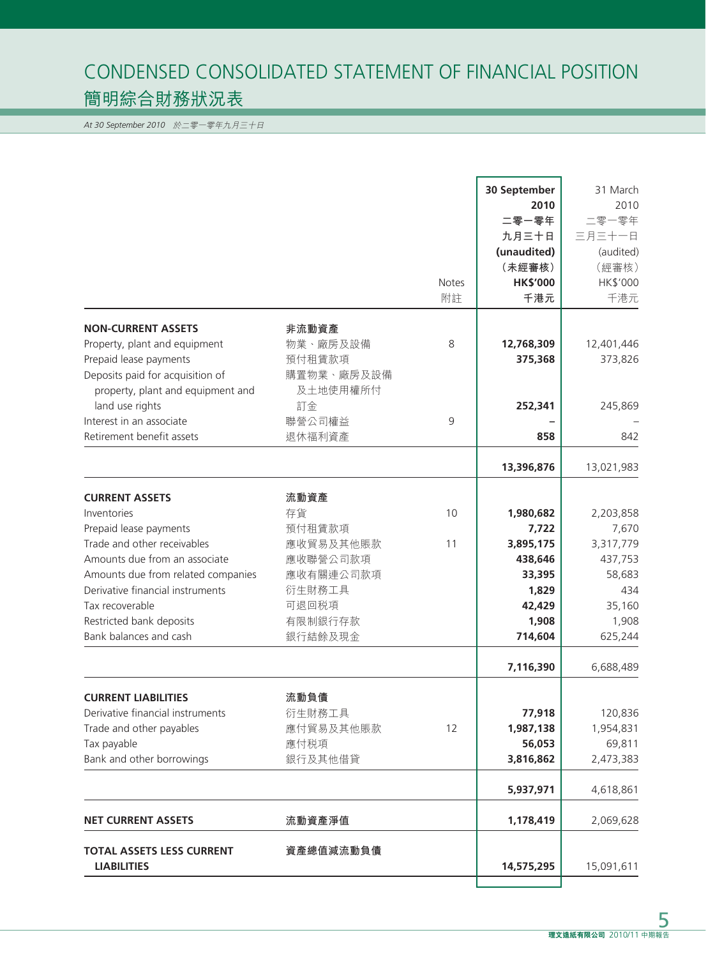# CONDENSED CONSOLIDATED STATEMENT OF FINANCIAL POSITION 簡明綜合財務狀況表

*At 30 September 2010* 於二零一零年九月三十日

|                                                                                                                                  |                                              | <b>Notes</b><br>附註 | 30 September<br>2010<br>二零一零年<br>九月三十日<br>(unaudited)<br>(未經審核)<br><b>HK\$'000</b><br>千港元 | 31 March<br>2010<br>二零一零年<br>三月三十一日<br>(audited)<br>(經審核)<br>HK\$'000<br>千港元 |
|----------------------------------------------------------------------------------------------------------------------------------|----------------------------------------------|--------------------|-------------------------------------------------------------------------------------------|------------------------------------------------------------------------------|
| <b>NON-CURRENT ASSETS</b>                                                                                                        | 非流動資產                                        |                    |                                                                                           |                                                                              |
| Property, plant and equipment<br>Prepaid lease payments<br>Deposits paid for acquisition of<br>property, plant and equipment and | 物業、廠房及設備<br>預付租賃款項<br>購置物業、廠房及設備<br>及土地使用權所付 | 8                  | 12,768,309<br>375,368                                                                     | 12,401,446<br>373,826                                                        |
| land use rights                                                                                                                  | 訂金                                           |                    | 252,341                                                                                   | 245,869                                                                      |
| Interest in an associate                                                                                                         | 聯營公司權益                                       | 9                  |                                                                                           |                                                                              |
| Retirement benefit assets                                                                                                        | 退休福利資產                                       |                    | 858                                                                                       | 842                                                                          |
|                                                                                                                                  |                                              |                    | 13,396,876                                                                                | 13,021,983                                                                   |
| <b>CURRENT ASSETS</b>                                                                                                            | 流動資產                                         |                    |                                                                                           |                                                                              |
| Inventories                                                                                                                      | 存貨                                           | 10                 | 1,980,682                                                                                 | 2,203,858                                                                    |
| Prepaid lease payments                                                                                                           | 預付租賃款項                                       |                    | 7,722                                                                                     | 7,670                                                                        |
| Trade and other receivables                                                                                                      | 應收貿易及其他賬款                                    | 11                 | 3,895,175                                                                                 | 3,317,779                                                                    |
| Amounts due from an associate                                                                                                    | 應收聯營公司款項                                     |                    | 438,646                                                                                   | 437,753                                                                      |
| Amounts due from related companies                                                                                               | 應收有關連公司款項                                    |                    | 33,395                                                                                    | 58,683                                                                       |
| Derivative financial instruments                                                                                                 | 衍生財務工具                                       |                    | 1,829                                                                                     | 434                                                                          |
| Tax recoverable                                                                                                                  | 可退回税項                                        |                    | 42,429                                                                                    | 35,160                                                                       |
| Restricted bank deposits                                                                                                         | 有限制銀行存款                                      |                    | 1,908                                                                                     | 1,908                                                                        |
| Bank balances and cash                                                                                                           | 銀行結餘及現金                                      |                    | 714,604                                                                                   | 625,244                                                                      |
|                                                                                                                                  |                                              |                    | 7,116,390                                                                                 | 6,688,489                                                                    |
|                                                                                                                                  |                                              |                    |                                                                                           |                                                                              |
| <b>CURRENT LIABILITIES</b>                                                                                                       | 流動負債                                         |                    |                                                                                           |                                                                              |
| Derivative financial instruments                                                                                                 | 衍生財務工具                                       |                    | 77,918                                                                                    | 120,836                                                                      |
| Trade and other payables                                                                                                         | 應付貿易及其他賬款                                    | 12                 | 1,987,138                                                                                 | 1,954,831                                                                    |
| Tax payable                                                                                                                      | 應付税項                                         |                    | 56,053                                                                                    | 69,811                                                                       |
| Bank and other borrowings                                                                                                        | 銀行及其他借貸                                      |                    | 3,816,862                                                                                 | 2,473,383                                                                    |
|                                                                                                                                  |                                              |                    | 5,937,971                                                                                 | 4,618,861                                                                    |
| <b>NET CURRENT ASSETS</b>                                                                                                        | 流動資產淨值                                       |                    | 1,178,419                                                                                 | 2,069,628                                                                    |
| <b>TOTAL ASSETS LESS CURRENT</b><br><b>LIABILITIES</b>                                                                           | 資產總值減流動負債                                    |                    | 14,575,295                                                                                | 15,091,611                                                                   |
|                                                                                                                                  |                                              |                    |                                                                                           |                                                                              |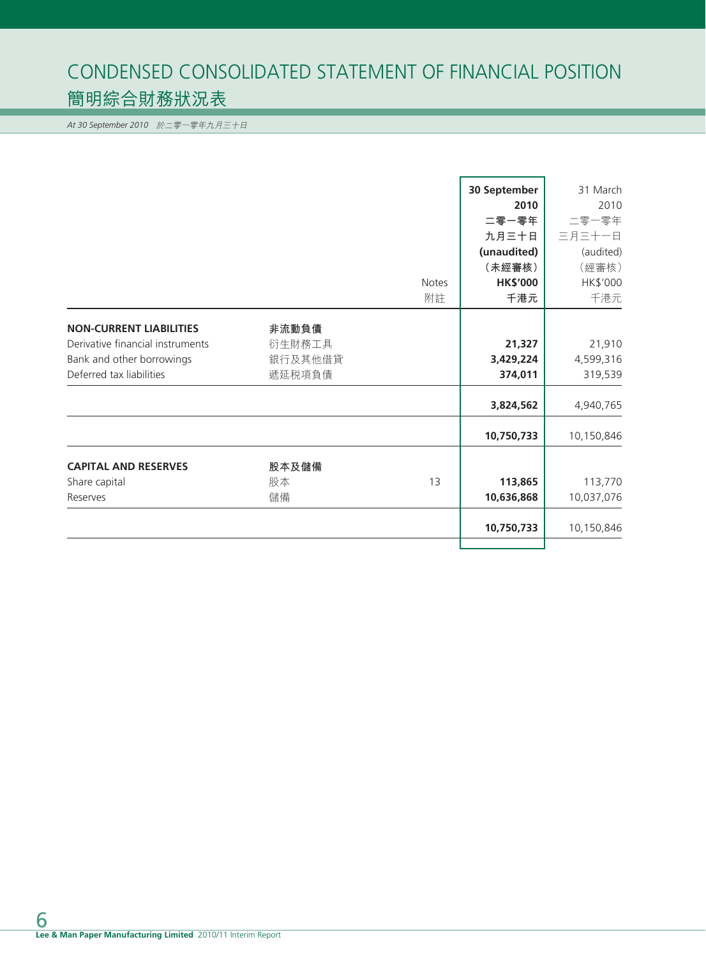# CONDENSED CONSOLIDATED STATEMENT OF FINANCIAL POSITION 簡明綜合財務狀況表

*At 30 September 2010* 於二零一零年九月三十日

|                                  |         |              | 30 September    | 31 March   |
|----------------------------------|---------|--------------|-----------------|------------|
|                                  |         |              | 2010            | 2010       |
|                                  |         |              | 二零一零年           | 二零一零年      |
|                                  |         |              | 九月三十日           | 三月三十一日     |
|                                  |         |              | (unaudited)     | (audited)  |
|                                  |         |              | (未經審核)          | (經審核)      |
|                                  |         | <b>Notes</b> | <b>HK\$'000</b> | HK\$'000   |
|                                  |         | 附註           | 千港元             | 千港元        |
| <b>NON-CURRENT LIABILITIES</b>   | 非流動負債   |              |                 |            |
| Derivative financial instruments | 衍生財務工具  |              | 21,327          | 21,910     |
| Bank and other borrowings        | 銀行及其他借貸 |              | 3,429,224       | 4,599,316  |
| Deferred tax liabilities         | 遞延税項負債  |              | 374,011         | 319,539    |
|                                  |         |              | 3,824,562       | 4,940,765  |
|                                  |         |              | 10,750,733      | 10,150,846 |
| <b>CAPITAL AND RESERVES</b>      | 股本及儲備   |              |                 |            |
| Share capital                    | 股本      | 13           | 113,865         | 113,770    |
| Reserves                         | 儲備      |              | 10,636,868      | 10,037,076 |
|                                  |         |              | 10,750,733      | 10,150,846 |
|                                  |         |              |                 |            |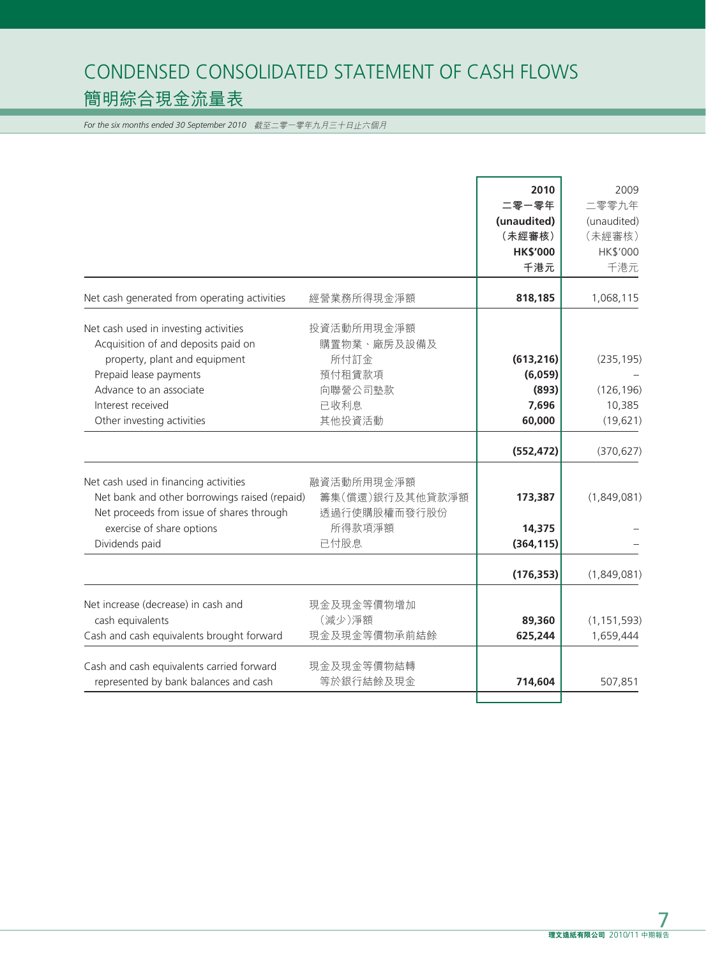# CONDENSED CONSOLIDATED STATEMENT OF CASH FLOWS 簡明綜合現金流量表

*For the six months ended 30 September 2010* 截至二零一零年九月三十日止六個月

|                                                                                                                                                                  |                                                         | 2010<br>二零一零年<br>(unaudited)<br>(未經審核)<br><b>HK\$'000</b><br>千港元 | 2009<br>二零零九年<br>(unaudited)<br>(未經審核)<br>HK\$'000<br>千港元 |
|------------------------------------------------------------------------------------------------------------------------------------------------------------------|---------------------------------------------------------|------------------------------------------------------------------|-----------------------------------------------------------|
| Net cash generated from operating activities                                                                                                                     | 經營業務所得現金淨額                                              | 818,185                                                          | 1,068,115                                                 |
| Net cash used in investing activities<br>Acquisition of and deposits paid on                                                                                     | 投資活動所用現金淨額<br>購置物業、廠房及設備及                               |                                                                  |                                                           |
| property, plant and equipment                                                                                                                                    | 所付訂金                                                    | (613, 216)                                                       | (235, 195)                                                |
| Prepaid lease payments<br>Advance to an associate                                                                                                                | 預付租賃款項<br>向聯營公司墊款                                       | (6,059)<br>(893)                                                 | (126, 196)                                                |
| Interest received                                                                                                                                                | 已收利息                                                    | 7,696                                                            | 10,385                                                    |
| Other investing activities                                                                                                                                       | 其他投資活動                                                  | 60,000                                                           | (19, 621)                                                 |
|                                                                                                                                                                  |                                                         | (552, 472)                                                       | (370, 627)                                                |
| Net cash used in financing activities<br>Net bank and other borrowings raised (repaid)<br>Net proceeds from issue of shares through<br>exercise of share options | 融資活動所用現金淨額<br>籌集(償還)銀行及其他貸款淨額<br>透過行使購股權而發行股份<br>所得款項淨額 | 173,387<br>14,375                                                | (1,849,081)                                               |
| Dividends paid                                                                                                                                                   | 已付股息                                                    | (364, 115)                                                       |                                                           |
|                                                                                                                                                                  |                                                         | (176, 353)                                                       | (1,849,081)                                               |
| Net increase (decrease) in cash and<br>cash equivalents<br>Cash and cash equivalents brought forward                                                             | 現金及現金等價物增加<br>(減少)淨額<br>現金及現金等價物承前結餘                    | 89,360<br>625,244                                                | (1, 151, 593)<br>1,659,444                                |
| Cash and cash equivalents carried forward                                                                                                                        | 現金及現金等價物結轉                                              |                                                                  |                                                           |
| represented by bank balances and cash                                                                                                                            | 等於銀行結餘及現金                                               | 714,604                                                          | 507,851                                                   |
|                                                                                                                                                                  |                                                         |                                                                  |                                                           |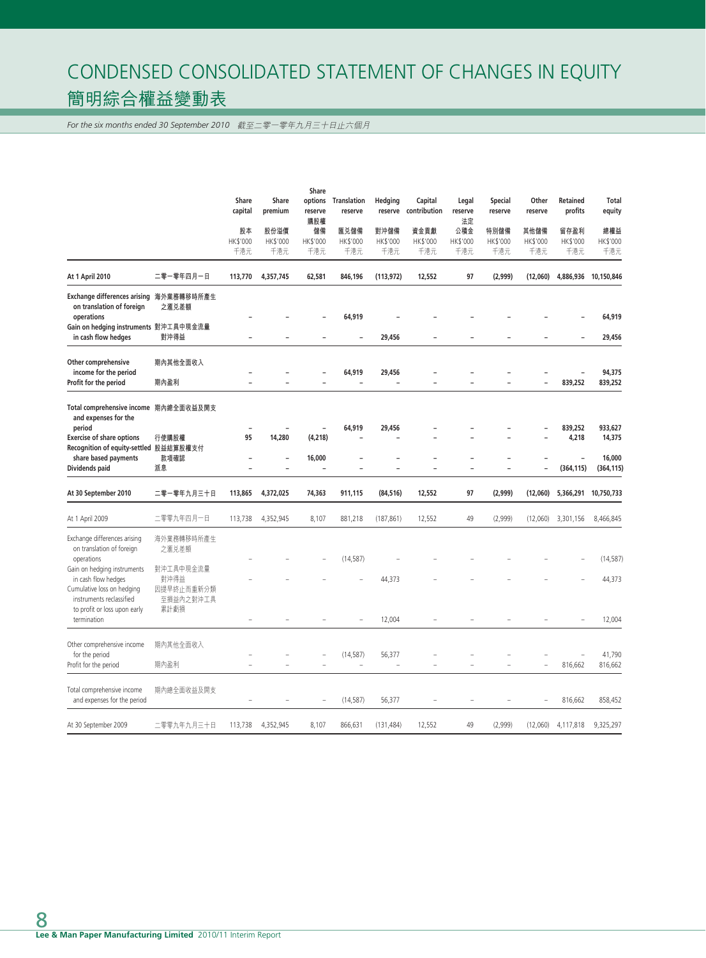# CONDENSED CONSOLIDATED STATEMENT OF CHANGES IN EQUITY 簡明綜合權益變動表

*For the six months ended 30 September 2010* 截至二零一零年九月三十日止六個月

|                                                                                                                                                                                                 |                                                                     | Share<br>capital<br>股本<br>HK\$'000<br>千港元 | Share<br>premium<br>股份溢價<br>HK\$'000<br>千港元 | Share<br>options<br>reserve<br>購股權<br>儲備<br>HK\$'000<br>千港元 | Translation<br>reserve<br>匯兑儲備<br>HK\$'000<br>千港元 | Hedging<br>reserve<br>對沖儲備<br>HK\$'000<br>千港元 | Capital<br>contribution<br>資金貢獻<br>HK\$'000<br>千港元 | Legal<br>reserve<br>法定<br>公積金<br>HK\$'000<br>千港元 | Special<br>reserve<br>特別儲備<br>HK\$'000<br>千港元 | Other<br>reserve<br>其他儲備<br>HK\$'000<br>千港元 | Retained<br>profits<br>留存盈利<br>HK\$'000<br>千港元             | <b>Total</b><br>equity<br>總權益<br>HK\$'000<br>千港元 |
|-------------------------------------------------------------------------------------------------------------------------------------------------------------------------------------------------|---------------------------------------------------------------------|-------------------------------------------|---------------------------------------------|-------------------------------------------------------------|---------------------------------------------------|-----------------------------------------------|----------------------------------------------------|--------------------------------------------------|-----------------------------------------------|---------------------------------------------|------------------------------------------------------------|--------------------------------------------------|
| At 1 April 2010                                                                                                                                                                                 | 二零一零年四月一日                                                           | 113,770                                   | 4,357,745                                   | 62,581                                                      | 846,196                                           | (113, 972)                                    | 12,552                                             | 97                                               | (2,999)                                       | (12,060)                                    | 4,886,936                                                  | 10,150,846                                       |
| Exchange differences arising 海外業務轉移時所產生<br>on translation of foreign<br>operations<br>Gain on hedging instruments 對沖工具中現金流量<br>in cash flow hedges                                              | 之滙兑差額<br>對沖得益                                                       |                                           |                                             | L,                                                          | 64,919<br>$\overline{\phantom{0}}$                | 29,456                                        | ۰                                                  |                                                  | ۳                                             |                                             | $\overline{\phantom{a}}$                                   | 64,919<br>29,456                                 |
| Other comprehensive<br>income for the period<br>Profit for the period                                                                                                                           | 期內其他全面收入<br>期內盈利                                                    |                                           |                                             |                                                             | 64,919<br>$\overline{a}$                          | 29,456                                        |                                                    |                                                  |                                               | ۳                                           | 839,252                                                    | 94,375<br>839,252                                |
| Total comprehensive income 期內總全面收益及開支<br>and expenses for the<br>period<br><b>Exercise of share options</b><br>Recognition of equity-settled 股益結算股權支付<br>share based payments<br>Dividends paid | 行使購股權<br>款項確認<br>派息                                                 | 95                                        | 14,280                                      | (4, 218)<br>16,000                                          | 64,919<br>$\overline{a}$                          | 29,456                                        |                                                    |                                                  |                                               |                                             | 839,252<br>4,218<br>$\overline{\phantom{a}}$<br>(364, 115) | 933,627<br>14,375<br>16,000<br>(364, 115)        |
| At 30 September 2010                                                                                                                                                                            | 二零一零年九月三十日                                                          | 113,865                                   | 4,372,025                                   | 74,363                                                      | 911,115                                           | (84, 516)                                     | 12,552                                             | 97                                               | (2,999)                                       | (12,060)                                    | 5,366,291                                                  | 10,750,733                                       |
| At 1 April 2009                                                                                                                                                                                 | 二零零九年四月一日                                                           | 113,738                                   | 4,352,945                                   | 8,107                                                       | 881,218                                           | (187, 861)                                    | 12,552                                             | 49                                               | (2,999)                                       | (12,060)                                    | 3,301,156                                                  | 8,466,845                                        |
| Exchange differences arising<br>on translation of foreign<br>operations<br>Gain on hedging instruments<br>in cash flow hedges<br>Cumulative loss on hedging<br>instruments reclassified         | 海外業務轉移時所產生<br>之滙兑差額<br>對沖工具中現金流量<br>對沖得益<br>因提早終止而重新分類<br>至損益內之對沖工具 |                                           |                                             |                                                             | (14, 587)                                         | 44,373                                        |                                                    |                                                  |                                               |                                             |                                                            | (14, 587)<br>44,373                              |
| to profit or loss upon early<br>termination                                                                                                                                                     | 累計虧損                                                                |                                           |                                             |                                                             |                                                   | 12,004                                        |                                                    |                                                  |                                               |                                             |                                                            | 12,004                                           |
| Other comprehensive income<br>for the period<br>Profit for the period                                                                                                                           | 期內其他全面收入<br>期內盈利                                                    | $\overline{a}$                            | L,                                          | Ē.<br>÷,                                                    | (14, 587)<br>$\overline{a}$                       | 56,377<br>$\overline{a}$                      | $\overline{a}$                                     | $\overline{a}$                                   | $\overline{a}$                                | $\overline{\phantom{m}}$                    | 816,662                                                    | 41,790<br>816,662                                |
| Total comprehensive income<br>and expenses for the period                                                                                                                                       | 期內總全面收益及開支                                                          |                                           |                                             | Ĭ.                                                          | (14, 587)                                         | 56,377                                        |                                                    |                                                  |                                               |                                             | 816,662                                                    | 858,452                                          |
| At 30 September 2009                                                                                                                                                                            | 二零零九年九月三十日                                                          | 113,738                                   | 4,352,945                                   | 8,107                                                       | 866,631                                           | (131, 484)                                    | 12,552                                             | 49                                               | (2,999)                                       | (12,060)                                    | 4,117,818                                                  | 9,325,297                                        |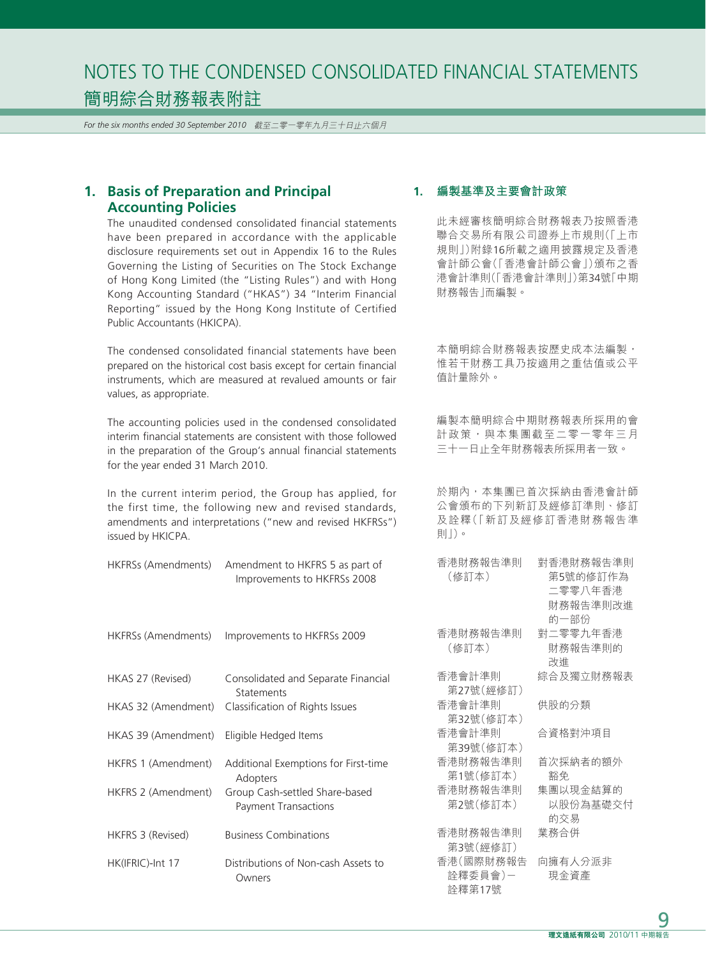*For the six months ended 30 September 2010* 截至二零一零年九月三十日止六個月

# **1. Basis of Preparation and Principal Accounting Policies**

The unaudited condensed consolidated financial statements have been prepared in accordance with the applicable disclosure requirements set out in Appendix 16 to the Rules Governing the Listing of Securities on The Stock Exchange of Hong Kong Limited (the "Listing Rules") and with Hong Kong Accounting Standard ("HKAS") 34 "Interim Financial Reporting" issued by the Hong Kong Institute of Certified Public Accountants (HKICPA).

The condensed consolidated financial statements have been prepared on the historical cost basis except for certain financial instruments, which are measured at revalued amounts or fair values, as appropriate.

The accounting policies used in the condensed consolidated interim financial statements are consistent with those followed in the preparation of the Group's annual financial statements for the year ended 31 March 2010.

In the current interim period, the Group has applied, for the first time, the following new and revised standards, amendments and interpretations ("new and revised HKFRSs") issued by HKICPA.

HKFRSs (Amendments) Improvements to HKFRSs 2009

| HKFRSs (Amendments) Amendment to HKFRS 5 as part of | 香港財務報告準則 |
|-----------------------------------------------------|----------|
| Improvements to HKFRSs 2008                         | (修訂本)    |
|                                                     |          |
|                                                     |          |

|                     | כסטב נכזו זו טז כוווכווטו ויטוויוו - ונזונווטווכוונז זו ט נכזו זוויו |
|---------------------|----------------------------------------------------------------------|
| HKAS 27 (Revised)   | Consolidated and Separate Financial<br>Statements                    |
| HKAS 32 (Amendment) | Classification of Rights Issues                                      |
| HKAS 39 (Amendment) | Eligible Hedged Items                                                |
| HKFRS 1 (Amendment) | Additional Exemptions for First-time<br>Adopters                     |
| HKFRS 2 (Amendment) | Group Cash-settled Share-based<br><b>Payment Transactions</b>        |
| HKFRS 3 (Revised)   | <b>Business Combinations</b>                                         |
| HK(IFRIC)-Int 17    | Distributions of Non-cash Assets to<br>Owners                        |

#### **1. 編製基準及主要會計政策**

此未經審核簡明綜合財務報表乃按照香港 聯合交易所有限公司證券上市規則(「上市 規則」)附錄16所載之適用披露規定及香港 會計師公會(「香港會計師公會」)頒布之香 港會計準則(「香港會計準則」)第34號「中期 財務報告」而編製。

本簡明綜合財務報表按歷史成本法編製, 惟若干財務工具乃按適用之重估值或公平 值計量除外。

編製本簡明綜合中期財務報表所採用的會 計政策,與本集團截至二零一零年三月 三十一日止全年財務報表所採用者一致。

於期內,本集團已首次採納由香港會計師 公會頒布的下列新訂及經修訂準則、修訂 及詮釋(「新訂及經修訂香港財務報告準 則」)。

| 香港財務報告準則<br>(修訂本) | 對香港財務報告準則<br>第5號的修訂作為<br>二零零八年香港<br>財務報告準則改進<br>的一部份 |
|-------------------|------------------------------------------------------|
| 香港財務報告準則          | 對二零零九年香港                                             |
| (修訂本)             | 財務報告準則的<br>改進                                        |
| 香港會計準則            | 綜合及獨立財務報表                                            |
| 第27號(經修訂)         |                                                      |
| 香港會計準則            | 供股的分類                                                |
| 第32號(修訂本)         |                                                      |
| 香港會計準則            | 合資格對沖項目                                              |
| 第39號(修訂本)         |                                                      |
| 香港財務報告準則          | 首次採納者的額外                                             |
| 第1號(修訂本)          | 豁免.                                                  |
| 香港財務報告準則          | 集團以現金結算的                                             |
| 第2號(修訂本)          | 以股份為基礎交付                                             |
|                   | 的交易                                                  |
| 香港財務報告準則          | 業務合併                                                 |
| 第3號(經修訂)          |                                                      |
| 香港(國際財務報告         | 向擁有人分派非                                              |
| 詮釋委員會)ー           | 現金資產                                                 |
| 詮釋第17號            |                                                      |
|                   |                                                      |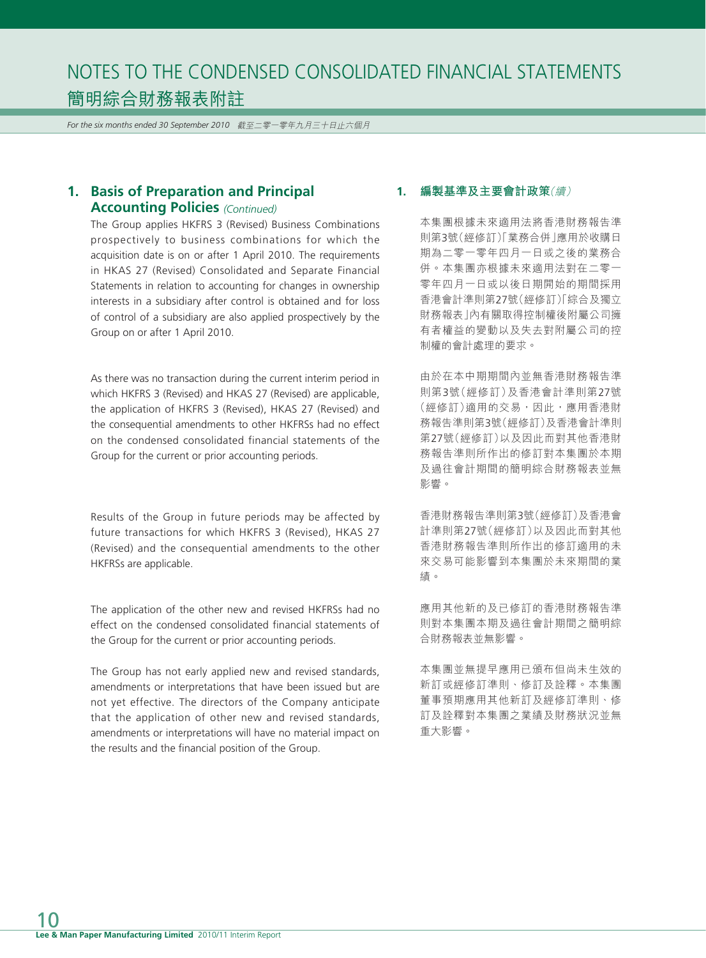*For the six months ended 30 September 2010* 截至二零一零年九月三十日止六個月

# **1. Basis of Preparation and Principal Accounting Policies** *(Continued)*

The Group applies HKFRS 3 (Revised) Business Combinations prospectively to business combinations for which the acquisition date is on or after 1 April 2010. The requirements in HKAS 27 (Revised) Consolidated and Separate Financial Statements in relation to accounting for changes in ownership interests in a subsidiary after control is obtained and for loss of control of a subsidiary are also applied prospectively by the Group on or after 1 April 2010.

As there was no transaction during the current interim period in which HKFRS 3 (Revised) and HKAS 27 (Revised) are applicable, the application of HKFRS 3 (Revised), HKAS 27 (Revised) and the consequential amendments to other HKFRSs had no effect on the condensed consolidated financial statements of the Group for the current or prior accounting periods.

Results of the Group in future periods may be affected by future transactions for which HKFRS 3 (Revised), HKAS 27 (Revised) and the consequential amendments to the other HKFRSs are applicable.

The application of the other new and revised HKFRSs had no effect on the condensed consolidated financial statements of the Group for the current or prior accounting periods.

The Group has not early applied new and revised standards, amendments or interpretations that have been issued but are not yet effective. The directors of the Company anticipate that the application of other new and revised standards, amendments or interpretations will have no material impact on the results and the financial position of the Group.

# **1. 編製基準及主要會計政策**(續)

本集團根據未來適用法將香港財務報告準 則第3號(經修訂)「業務合併」應用於收購日 期為二零一零年四月一日或之後的業務合 併。本集團亦根據未來適用法對在二零一 零年四月一日或以後日期開始的期間採用 香港會計準則第27號(經修訂)「綜合及獨立 財務報表」內有關取得控制權後附屬公司擁 有者權益的變動以及失去對附屬公司的控 制權的會計處理的要求。

由於在本中期期間內並無香港財務報告準 則第3號(經修訂)及香港會計準則第27號 (經修訂)適用的交易,因此,應用香港財 務報告準則第3號(經修訂)及香港會計準則 第27號(經修訂)以及因此而對其他香港財 務報告準則所作出的修訂對本集團於本期 及過往會計期間的簡明綜合財務報表並無 影響。

香港財務報告準則第3號(經修訂)及香港會 計準則第27號(經修訂)以及因此而對其他 香港財務報告準則所作出的修訂適用的未 來交易可能影響到本集團於未來期間的業 績。

應用其他新的及已修訂的香港財務報告準 則對本集團本期及過往會計期間之簡明綜 合財務報表並無影響。

本集團並無提早應用已頒布但尚未生效的 新訂或經修訂準則、修訂及詮釋。本集團 董事預期應用其他新訂及經修訂準則、修 訂及詮釋對本集團之業績及財務狀況並無 重大影響。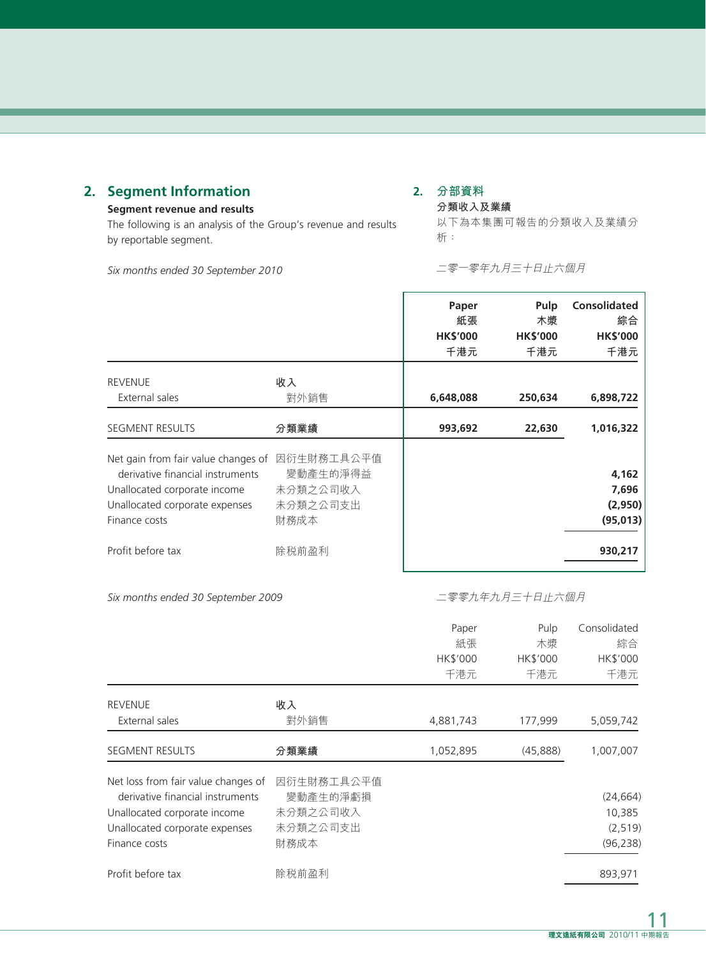# **2. Segment Information**

### **Segment revenue and results**

The following is an analysis of the Group's revenue and results by reportable segment.

**2. 分部資料 分類收入及業績**

以下為本集團可報告的分類收入及業績分 析:

*Six months ended 30 September 2010*

二零一零年九月三十日止六個月

|                                                                                                                                                            |                                                        | Paper<br>紙張<br><b>HK\$'000</b><br>千港元 | Pulp<br>木漿<br><b>HK\$'000</b><br>千港元 | <b>Consolidated</b><br>綜合<br><b>HK\$'000</b><br>千港元 |
|------------------------------------------------------------------------------------------------------------------------------------------------------------|--------------------------------------------------------|---------------------------------------|--------------------------------------|-----------------------------------------------------|
| <b>REVENUE</b><br>External sales                                                                                                                           | 收入<br>對外銷售                                             | 6,648,088                             | 250,634                              | 6,898,722                                           |
| <b>SEGMENT RESULTS</b>                                                                                                                                     | 分類業績                                                   | 993,692                               | 22,630                               | 1,016,322                                           |
| Net gain from fair value changes of<br>derivative financial instruments<br>Unallocated corporate income<br>Unallocated corporate expenses<br>Finance costs | 因衍生財務工具公平值<br>變動產生的淨得益<br>未分類之公司收入<br>未分類之公司支出<br>財務成本 |                                       |                                      | 4,162<br>7,696<br>(2,950)<br>(95, 013)              |
| Profit before tax                                                                                                                                          | 除税前盈利                                                  |                                       |                                      | 930,217                                             |

*Six months ended 30 September 2009*

二零零九年九月三十日止六個月

|                                                                                                                                                            |                                                        | Paper<br>紙張<br>HK\$'000<br>千港元 | Pulp<br>木漿<br>HK\$'000<br>千港元 | Consolidated<br>綜合<br>HK\$'000<br>千港元        |
|------------------------------------------------------------------------------------------------------------------------------------------------------------|--------------------------------------------------------|--------------------------------|-------------------------------|----------------------------------------------|
| <b>REVENUE</b><br>External sales                                                                                                                           | 收入<br>對外銷售                                             | 4,881,743                      | 177,999                       | 5,059,742                                    |
| <b>SEGMENT RESULTS</b>                                                                                                                                     | 分類業績                                                   | 1,052,895                      | (45,888)                      | 1,007,007                                    |
| Net loss from fair value changes of<br>derivative financial instruments<br>Unallocated corporate income<br>Unallocated corporate expenses<br>Finance costs | 因衍生財務工具公平值<br>變動產生的淨虧損<br>未分類之公司收入<br>未分類之公司支出<br>財務成本 |                                |                               | (24, 664)<br>10,385<br>(2, 519)<br>(96, 238) |
| Profit before tax                                                                                                                                          | 除税前盈利                                                  |                                |                               | 893,971                                      |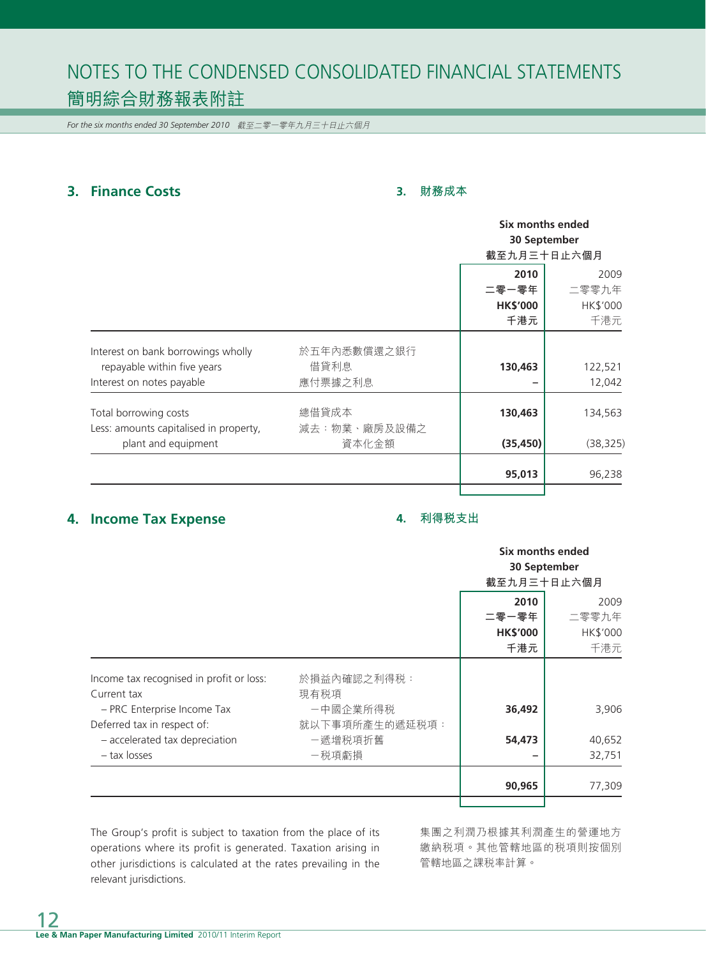*For the six months ended 30 September 2010* 截至二零一零年九月三十日止六個月

# **3. Finance Costs**

### **3. 財務成本**

|                                                                   |                       |                 | Six months ended<br>30 September |  |  |
|-------------------------------------------------------------------|-----------------------|-----------------|----------------------------------|--|--|
|                                                                   |                       |                 |                                  |  |  |
|                                                                   |                       |                 | 截至九月三十日止六個月                      |  |  |
|                                                                   |                       | 2010            | 2009                             |  |  |
|                                                                   |                       | 二零一零年           | 二零零九年                            |  |  |
|                                                                   |                       | <b>HK\$'000</b> | HK\$'000                         |  |  |
|                                                                   |                       | 千港元             | 千港元                              |  |  |
| Interest on bank borrowings wholly<br>repayable within five years | 於五年內悉數償還之銀行<br>借貸利息   | 130,463         | 122,521                          |  |  |
| Interest on notes payable                                         | 應付票據之利息               |                 | 12,042                           |  |  |
| Total borrowing costs                                             | 總借貸成本                 | 130,463         | 134,563                          |  |  |
| Less: amounts capitalised in property,<br>plant and equipment     | 減去:物業、廠房及設備之<br>資本化金額 | (35, 450)       | (38, 325)                        |  |  |
|                                                                   |                       | 95,013          | 96,238                           |  |  |
|                                                                   |                       |                 |                                  |  |  |

# **4. Income Tax Expense**

#### **4. 利得稅支出**

|                                                                                        |                                    | Six months ended<br>30 September<br>截至九月三十日止六個月 |                                  |
|----------------------------------------------------------------------------------------|------------------------------------|-------------------------------------------------|----------------------------------|
|                                                                                        |                                    | 2010<br>二零一零年<br><b>HK\$'000</b><br>千港元         | 2009<br>二零零九年<br>HK\$'000<br>千港元 |
| Income tax recognised in profit or loss:<br>Current tax<br>- PRC Enterprise Income Tax | 於損益內確認之利得税:<br>現有税項<br>一中國企業所得税    | 36,492                                          | 3,906                            |
| Deferred tax in respect of:<br>- accelerated tax depreciation<br>- tax losses          | 就以下事項所產生的遞延税項:<br>-遞增税項折舊<br>-税項虧損 | 54,473                                          | 40,652<br>32,751                 |
|                                                                                        |                                    | 90,965                                          | 77,309                           |

The Group's profit is subject to taxation from the place of its operations where its profit is generated. Taxation arising in other jurisdictions is calculated at the rates prevailing in the relevant jurisdictions.

集團之利潤乃根據其利潤產生的營運地方 繳納稅項。其他管轄地區的稅項則按個別 管轄地區之課稅率計算。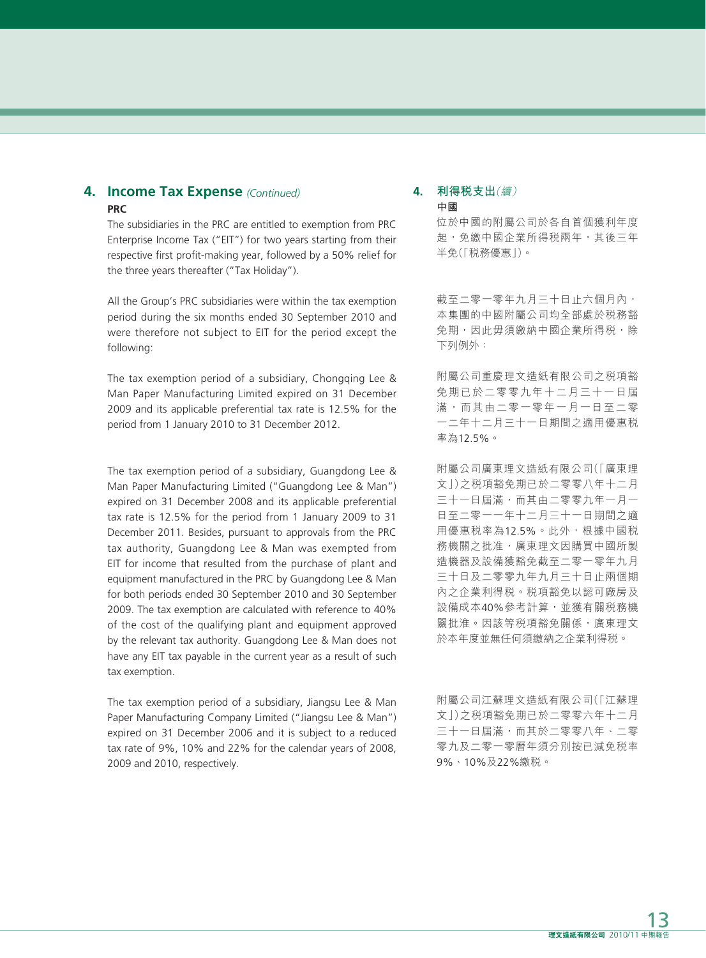### **4. Income Tax Expense** *(Continued)* **PRC**

The subsidiaries in the PRC are entitled to exemption from PRC Enterprise Income Tax ("EIT") for two years starting from their respective first profit-making year, followed by a 50% relief for the three years thereafter ("Tax Holiday").

All the Group's PRC subsidiaries were within the tax exemption period during the six months ended 30 September 2010 and were therefore not subject to EIT for the period except the following:

The tax exemption period of a subsidiary, Chongqing Lee & Man Paper Manufacturing Limited expired on 31 December 2009 and its applicable preferential tax rate is 12.5% for the period from 1 January 2010 to 31 December 2012.

The tax exemption period of a subsidiary, Guangdong Lee & Man Paper Manufacturing Limited ("Guangdong Lee & Man") expired on 31 December 2008 and its applicable preferential tax rate is 12.5% for the period from 1 January 2009 to 31 December 2011. Besides, pursuant to approvals from the PRC tax authority, Guangdong Lee & Man was exempted from EIT for income that resulted from the purchase of plant and equipment manufactured in the PRC by Guangdong Lee & Man for both periods ended 30 September 2010 and 30 September 2009. The tax exemption are calculated with reference to 40% of the cost of the qualifying plant and equipment approved by the relevant tax authority. Guangdong Lee & Man does not have any EIT tax payable in the current year as a result of such tax exemption.

The tax exemption period of a subsidiary, Jiangsu Lee & Man Paper Manufacturing Company Limited ("Jiangsu Lee & Man") expired on 31 December 2006 and it is subject to a reduced tax rate of 9%, 10% and 22% for the calendar years of 2008, 2009 and 2010, respectively.

#### **4. 利得稅支出**(續) **中國**

位於中國的附屬公司於各自首個獲利年度 起,免繳中國企業所得稅兩年,其後三年 半免(「稅務優惠」)。

截至二零一零年九月三十日止六個月內, 本集團的中國附屬公司均全部處於稅務豁 免期,因此毋須繳納中國企業所得税,除 下列例外:

附屬公司重慶理文造紙有限公司之稅項豁 免期已於二零零九年十二月三十一日屆 滿,而其由二零一零年一月一日至二零 一二年十二月三十一日期間之適用優惠稅 率為12.5%。

附屬公司廣東理文造紙有限公司(「廣東理 文」)之稅項豁免期已於二零零八年十二月 三十一日屆滿,而其由二零零九年一月一 日至二零一一年十二月三十一日期間之適 用優惠稅率為12.5%。此外,根據中國稅 務機關之批准,廣東理文因購買中國所製 造機器及設備獲豁免截至二零一零年九月 三十日及二零零九年九月三十日止兩個期 內之企業利得稅。稅項豁免以認可廠房及 設備成本40%參考計算,並獲有關稅務機 關批淮。因該等稅項豁免關係,廣東理文 於本年度並無任何須繳納之企業利得稅。

附屬公司江蘇理文造紙有限公司(「江蘇理 文」)之稅項豁免期已於二零零六年十二月 三十一日屆滿,而其於二零零八年、二零 零九及二零一零曆年須分別按已減免稅率 9%、10%及22%繳稅。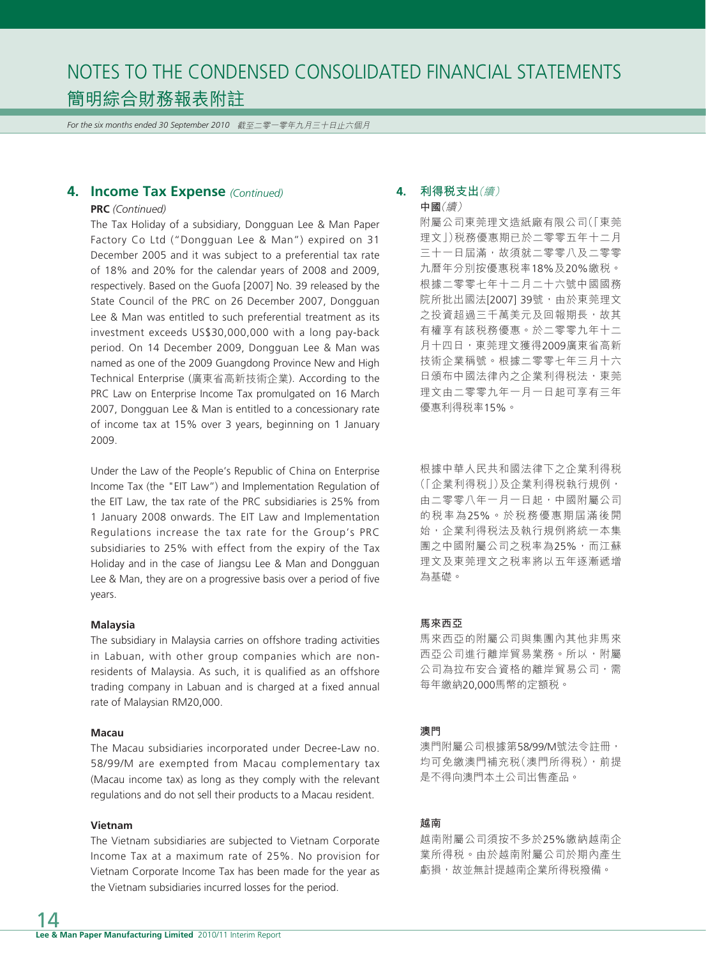*For the six months ended 30 September 2010* 截至二零一零年九月三十日止六個月

### **4. Income Tax Expense** *(Continued)*

#### **PRC** *(Continued)*

The Tax Holiday of a subsidiary, Dongguan Lee & Man Paper Factory Co Ltd ("Dongguan Lee & Man") expired on 31 December 2005 and it was subject to a preferential tax rate of 18% and 20% for the calendar years of 2008 and 2009, respectively. Based on the Guofa [2007] No. 39 released by the State Council of the PRC on 26 December 2007, Dongguan Lee & Man was entitled to such preferential treatment as its investment exceeds US\$30,000,000 with a long pay-back period. On 14 December 2009, Dongguan Lee & Man was named as one of the 2009 Guangdong Province New and High Technical Enterprise (廣東省高新技術企業). According to the PRC Law on Enterprise Income Tax promulgated on 16 March 2007, Dongguan Lee & Man is entitled to a concessionary rate of income tax at 15% over 3 years, beginning on 1 January 2009.

Under the Law of the People's Republic of China on Enterprise Income Tax (the "EIT Law") and Implementation Regulation of the EIT Law, the tax rate of the PRC subsidiaries is 25% from 1 January 2008 onwards. The EIT Law and Implementation Regulations increase the tax rate for the Group's PRC subsidiaries to 25% with effect from the expiry of the Tax Holiday and in the case of Jiangsu Lee & Man and Dongguan Lee & Man, they are on a progressive basis over a period of five years.

#### **Malaysia**

The subsidiary in Malaysia carries on offshore trading activities in Labuan, with other group companies which are nonresidents of Malaysia. As such, it is qualified as an offshore trading company in Labuan and is charged at a fixed annual rate of Malaysian RM20,000.

#### **Macau**

The Macau subsidiaries incorporated under Decree-Law no. 58/99/M are exempted from Macau complementary tax (Macau income tax) as long as they comply with the relevant regulations and do not sell their products to a Macau resident.

#### **Vietnam**

The Vietnam subsidiaries are subjected to Vietnam Corporate Income Tax at a maximum rate of 25%. No provision for Vietnam Corporate Income Tax has been made for the year as the Vietnam subsidiaries incurred losses for the period.

#### **4. 利得稅支出**(續) **中國**(續)

附屬公司東莞理文造紙廠有限公司(「東莞 理文」)稅務優惠期已於二零零五年十二月 三十一日屆滿,故須就二零零八及二零零 九曆年分別按優惠稅率18%及20%繳稅。 根據二零零七年十二月二十六號中國國務 院所批出國法[2007] 39號,由於東莞理文 之投資超過三千萬美元及回報期長,故其 有權享有該稅務優惠。於二零零九年十二 月十四日,東莞理文獲得2009廣東省高新 技術企業稱號。根據二零零七年三月十六 日頒布中國法律內之企業利得税法,東莞 理文由二零零九年一月一日起可享有三年 優惠利得稅率15%。

根據中華人民共和國法律下之企業利得稅 (「企業利得稅」)及企業利得稅執行規例, 由二零零八年一月一日起,中國附屬公司 的稅率為25%。於稅務優惠期屆滿後開 始,企業利得税法及執行規例將統一本集 團之中國附屬公司之稅率為25%,而江蘇 理文及東莞理文之稅率將以五年逐漸遞增 為基礎。

#### **馬來西亞**

馬來西亞的附屬公司與集團內其他非馬來 西亞公司進行離岸貿易業務。所以,附屬 公司為拉布安合資格的離岸貿易公司,需 每年繳納20,000馬幣的定額稅。

#### **澳門**

澳門附屬公司根據第58/99/M號法令註冊, 均可免繳澳門補充稅(澳門所得稅),前提 是不得向澳門本土公司出售產品。

#### **越南**

越南附屬公司須按不多於25%繳納越南企 業所得稅。由於越南附屬公司於期內產生 虧損,故並無計提越南企業所得稅撥備。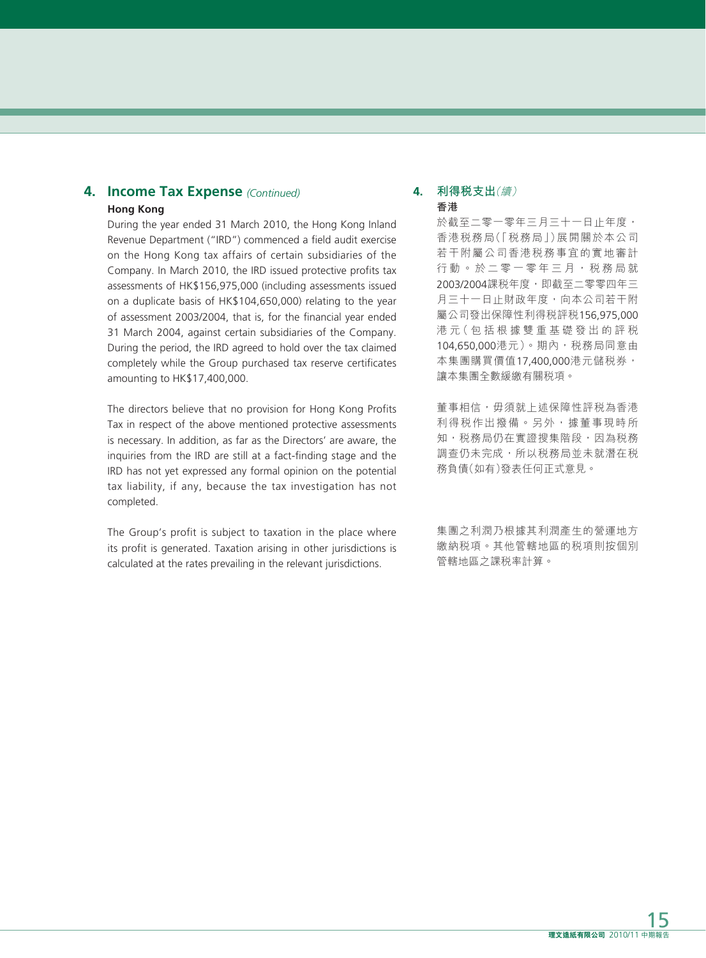# **4. Income Tax Expense** *(Continued)* **Hong Kong**

During the year ended 31 March 2010, the Hong Kong Inland Revenue Department ("IRD") commenced a field audit exercise on the Hong Kong tax affairs of certain subsidiaries of the Company. In March 2010, the IRD issued protective profits tax assessments of HK\$156,975,000 (including assessments issued on a duplicate basis of HK\$104,650,000) relating to the year of assessment 2003/2004, that is, for the financial year ended 31 March 2004, against certain subsidiaries of the Company. During the period, the IRD agreed to hold over the tax claimed completely while the Group purchased tax reserve certificates amounting to HK\$17,400,000.

The directors believe that no provision for Hong Kong Profits Tax in respect of the above mentioned protective assessments is necessary. In addition, as far as the Directors' are aware, the inquiries from the IRD are still at a fact-finding stage and the IRD has not yet expressed any formal opinion on the potential tax liability, if any, because the tax investigation has not completed.

The Group's profit is subject to taxation in the place where its profit is generated. Taxation arising in other jurisdictions is calculated at the rates prevailing in the relevant jurisdictions.

### **4. 利得稅支出**(續) **香港**

於截至二零一零年三月三十一日止年度, 香港稅務局(「稅務局」)展開關於本公司 若干附屬公司香港稅務事宜的實地審計 行動。於二零一零年三月,税務局就 2003/2004課税年度, 即截至二零零四年三 月三十一日止財政年度,向本公司若干附 屬公司發出保障性利得稅評稅156,975,000 港 元(包括根據雙重基礎發出的評稅 104,650,000港元)。期內,税務局同意由 本集團購買價值17,400,000港元儲稅券, 讓本集團全數緩繳有關稅項。

董事相信,毋須就上述保障性評税為香港 利得稅作出撥備。另外,據董事現時所 知, 税務局仍在實證搜集階段, 因為税務 調查仍未完成,所以稅務局並未就潛在稅 務負債(如有)發表任何正式意見。

集團之利潤乃根據其利潤產生的營運地方 繳納稅項。其他管轄地區的稅項則按個別 管轄地區之課稅率計算。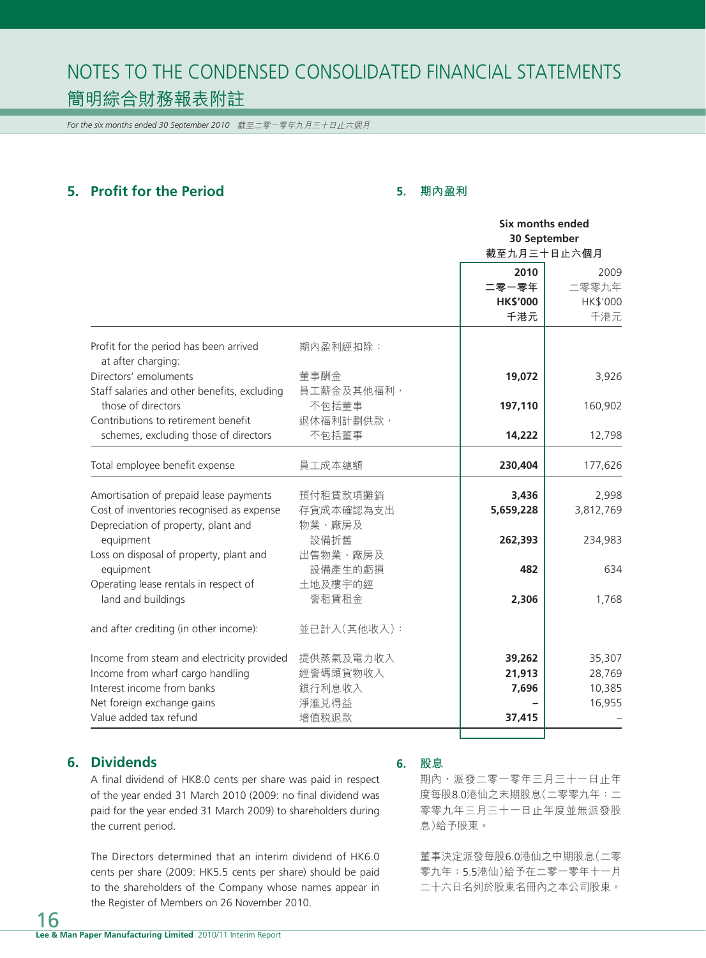*For the six months ended 30 September 2010* 截至二零一零年九月三十日止六個月

# **5. Profit for the Period**

### **5. 期內盈利**

|                                                                                                                                                                      |                                                   | <b>Six months ended</b><br>30 September |                                                 |
|----------------------------------------------------------------------------------------------------------------------------------------------------------------------|---------------------------------------------------|-----------------------------------------|-------------------------------------------------|
|                                                                                                                                                                      |                                                   | 2010<br>二零一零年<br><b>HK\$'000</b><br>千港元 | 截至九月三十日止六個月<br>2009<br>二零零九年<br>HK\$'000<br>千港元 |
| Profit for the period has been arrived<br>at after charging:                                                                                                         | 期內盈利經扣除:                                          |                                         |                                                 |
| Directors' emoluments<br>Staff salaries and other benefits, excluding                                                                                                | 董事酬金<br>員工薪金及其他福利,                                | 19,072                                  | 3,926                                           |
| those of directors<br>Contributions to retirement benefit                                                                                                            | 不包括董事<br>退休福利計劃供款,                                | 197,110                                 | 160,902                                         |
| schemes, excluding those of directors                                                                                                                                | 不包括董事                                             | 14,222                                  | 12,798                                          |
| Total employee benefit expense                                                                                                                                       | 員工成本總額                                            | 230,404                                 | 177,626                                         |
| Amortisation of prepaid lease payments<br>Cost of inventories recognised as expense<br>Depreciation of property, plant and                                           | 預付租賃款項攤銷<br>存貨成本確認為支出<br>物業、廠房及                   | 3,436<br>5,659,228                      | 2,998<br>3,812,769                              |
| equipment<br>Loss on disposal of property, plant and                                                                                                                 | 設備折舊<br>出售物業、廠房及                                  | 262,393                                 | 234,983                                         |
| equipment<br>Operating lease rentals in respect of                                                                                                                   | 設備產生的虧損<br>土地及樓宇的經                                | 482                                     | 634                                             |
| land and buildings                                                                                                                                                   | 營租賃租金                                             | 2,306                                   | 1,768                                           |
| and after crediting (in other income):                                                                                                                               | 並已計入(其他收入):                                       |                                         |                                                 |
| Income from steam and electricity provided<br>Income from wharf cargo handling<br>Interest income from banks<br>Net foreign exchange gains<br>Value added tax refund | 提供蒸氣及電力收入<br>經營碼頭貨物收入<br>銀行利息收入<br>淨滙兑得益<br>增值税退款 | 39,262<br>21,913<br>7,696<br>37,415     | 35,307<br>28,769<br>10,385<br>16,955            |
|                                                                                                                                                                      |                                                   |                                         |                                                 |

# **6. Dividends**

A final dividend of HK8.0 cents per share was paid in respect of the year ended 31 March 2010 (2009: no final dividend was paid for the year ended 31 March 2009) to shareholders during the current period.

The Directors determined that an interim dividend of HK6.0 cents per share (2009: HK5.5 cents per share) should be paid to the shareholders of the Company whose names appear in the Register of Members on 26 November 2010.

#### **6. 股息**

期內,派發二零一零年三月三十一日止年 度每股8.0港仙之末期股息(二零零九年:二 零零九年三月三十一日止年度並無派發股 息)給予股東。

董事決定派發每股6.0港仙之中期股息(二零 零九年:5.5港仙)給予在二零一零年十一月 二十六日名列於股東名冊內之本公司股東。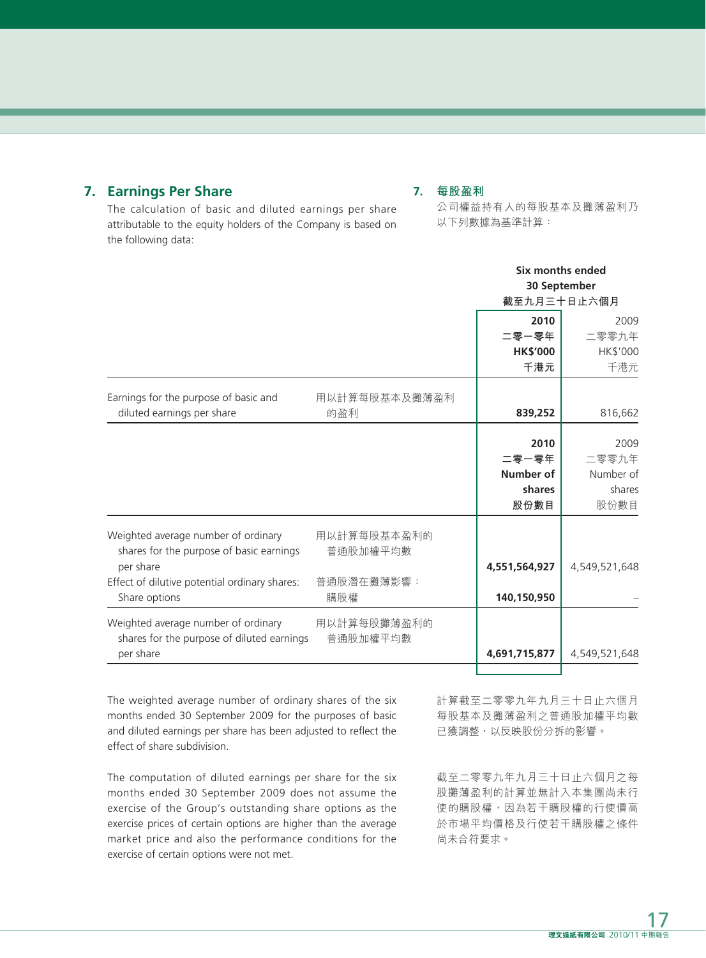# **7. Earnings Per Share**

**7. 每股盈利**

The calculation of basic and diluted earnings per share attributable to the equity holders of the Company is based on the following data:

#### 公司權益持有人的每股基本及攤薄盈利乃 以下列數據為基準計算:

|                                                                                   |                         | Six months ended<br>30 September<br>截至九月三十日止六個月 |               |
|-----------------------------------------------------------------------------------|-------------------------|-------------------------------------------------|---------------|
|                                                                                   |                         | 2010                                            | 2009          |
|                                                                                   |                         | 二零一零年                                           | 二零零九年         |
|                                                                                   |                         | <b>HK\$'000</b>                                 | HK\$'000      |
|                                                                                   |                         | 千港元                                             | 千港元           |
| Earnings for the purpose of basic and                                             | 用以計算每股基本及攤薄盈利           |                                                 |               |
| diluted earnings per share                                                        | 的盈利                     | 839,252                                         | 816,662       |
|                                                                                   |                         | 2010<br>二零一零年                                   | 2009<br>二零零九年 |
|                                                                                   |                         | <b>Number of</b>                                | Number of     |
|                                                                                   |                         | shares                                          | shares        |
|                                                                                   |                         | 股份數目                                            | 股份數目          |
| Weighted average number of ordinary<br>shares for the purpose of basic earnings   | 用以計算每股基本盈利的<br>普通股加權平均數 |                                                 |               |
| per share                                                                         |                         | 4,551,564,927                                   | 4,549,521,648 |
| Effect of dilutive potential ordinary shares:                                     | 普通股潛在攤薄影響:              | 140,150,950                                     |               |
| Share options                                                                     | 購股權                     |                                                 |               |
| Weighted average number of ordinary<br>shares for the purpose of diluted earnings | 用以計算每股攤薄盈利的<br>普通股加權平均數 |                                                 |               |
| per share                                                                         |                         | 4,691,715,877                                   | 4,549,521,648 |
|                                                                                   |                         |                                                 |               |

The weighted average number of ordinary shares of the six months ended 30 September 2009 for the purposes of basic and diluted earnings per share has been adjusted to reflect the effect of share subdivision.

The computation of diluted earnings per share for the six months ended 30 September 2009 does not assume the exercise of the Group's outstanding share options as the exercise prices of certain options are higher than the average market price and also the performance conditions for the exercise of certain options were not met.

計算截至二零零九年九月三十日止六個月 每股基本及攤薄盈利之普通股加權平均數 已獲調整,以反映股份分拆的影響。

截至二零零九年九月三十日止六個月之每 股攤薄盈利的計算並無計入本集團尚未行 使的購股權,因為若干購股權的行使價高 於市場平均價格及行使若干購股權之條件 尚未合符要求。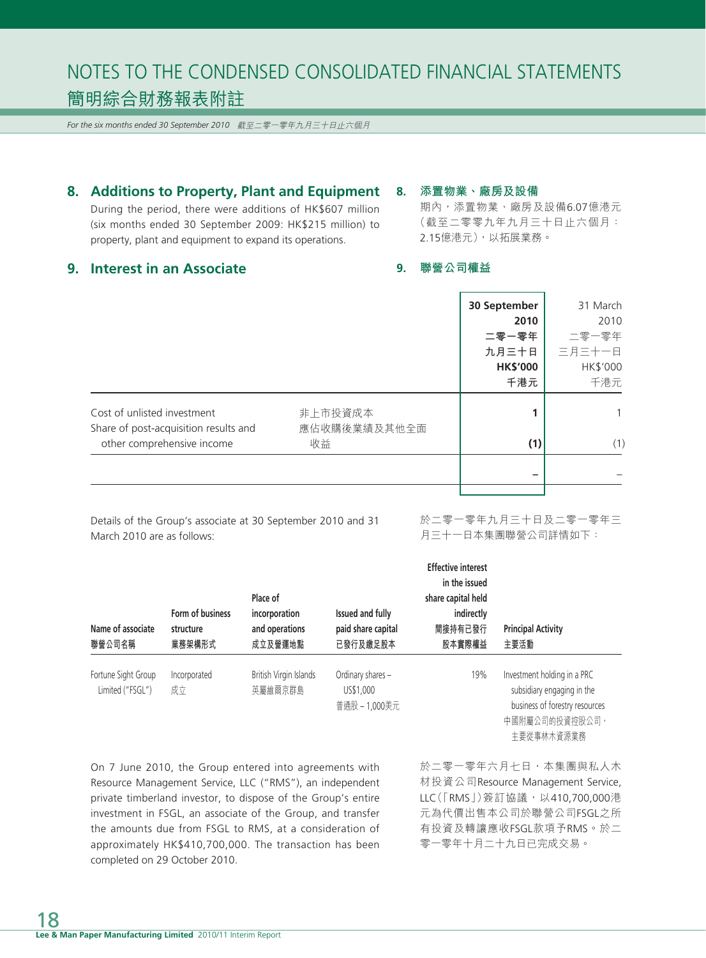*For the six months ended 30 September 2010* 截至二零一零年九月三十日止六個月

**8. Additions to Property, Plant and Equipment**

During the period, there were additions of HK\$607 million (six months ended 30 September 2009: HK\$215 million) to property, plant and equipment to expand its operations.

### **8. 添置物業、廠房及設備**

期內,添置物業、廠房及設備6.07億港元 (截至二零零九年九月三十日止六個月: 2.15億港元),以拓展業務。

### **9. Interest in an Associate**

# **9. 聯營公司權益**

|                                                                     |                    | 30 September    | 31 March |
|---------------------------------------------------------------------|--------------------|-----------------|----------|
|                                                                     |                    | 2010            | 2010     |
|                                                                     |                    | 二零一零年           | 二零一零年    |
|                                                                     |                    | 九月三十日           | 三月三十一日   |
|                                                                     |                    | <b>HK\$'000</b> | HK\$'000 |
|                                                                     |                    | 千港元             | 千港元      |
| Cost of unlisted investment                                         | 非上市投資成本            | 1               |          |
| Share of post-acquisition results and<br>other comprehensive income | 應佔收購後業績及其他全面<br>收益 | (1)             | (1)      |
|                                                                     |                    |                 |          |
|                                                                     |                    |                 |          |

Details of the Group's associate at 30 September 2010 and 31 March 2010 are as follows:

#### 於二零一零年九月三十日及二零一零年三 月三十一日本集團聯營公司詳情如下:

| Name of associate<br>聯營公司名稱             | Form of business<br>structure<br>業務架構形式 | Place of<br>incorporation<br>and operations<br>成立及營運地點 | Issued and fully<br>paid share capital<br>已發行及繳足股本 | <b>Effective interest</b><br>in the issued<br>share capital held<br>indirectly<br>間接持有已發行<br>股本實際權益 | <b>Principal Activity</b><br>主要活動                                                                                           |
|-----------------------------------------|-----------------------------------------|--------------------------------------------------------|----------------------------------------------------|-----------------------------------------------------------------------------------------------------|-----------------------------------------------------------------------------------------------------------------------------|
| Fortune Sight Group<br>Limited ("FSGL") | Incorporated<br>成立                      | British Virgin Islands<br>英屬維爾京群島                      | Ordinary shares -<br>US\$1.000<br>普通股-1,000美元      | 19%                                                                                                 | Investment holding in a PRC<br>subsidiary engaging in the<br>business of forestry resources<br>中國附屬公司的投資控股公司,<br>主要從事林木資源業務 |

On 7 June 2010, the Group entered into agreements with Resource Management Service, LLC ("RMS"), an independent private timberland investor, to dispose of the Group's entire investment in FSGL, an associate of the Group, and transfer the amounts due from FSGL to RMS, at a consideration of approximately HK\$410,700,000. The transaction has been completed on 29 October 2010.

於二零一零年六月七日,本集團與私人木 材投資公司Resource Management Service, LLC([RMS])簽訂協議, 以410,700,000港 元為代價出售本公司於聯營公司FSGL之所 有投資及轉讓應收FSGL款項予RMS。於二 零一零年十月二十九日已完成交易。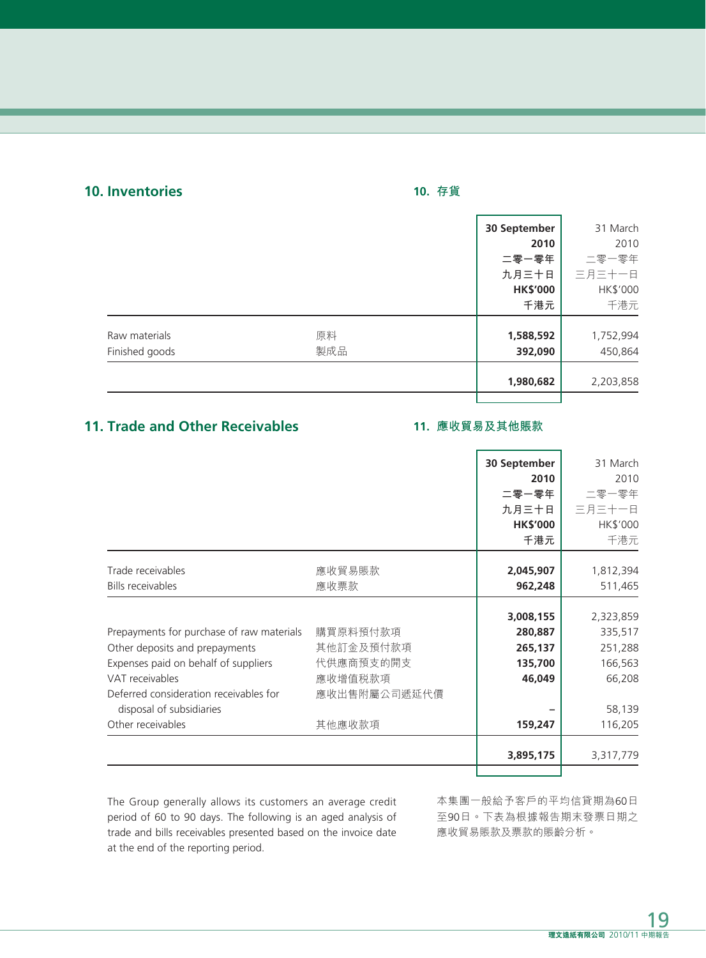# **10. Inventories**

# **10. 存貨**

|                |     | 30 September    | 31 March  |
|----------------|-----|-----------------|-----------|
|                |     | 2010            | 2010      |
|                |     | 二零一零年           | 二零一零年     |
|                |     | 九月三十日           | 三月三十一日    |
|                |     | <b>HK\$'000</b> | HK\$'000  |
|                |     | 千港元             | 千港元       |
| Raw materials  | 原料  | 1,588,592       | 1,752,994 |
| Finished goods | 製成品 | 392,090         | 450,864   |
|                |     | 1,980,682       | 2,203,858 |
|                |     |                 |           |

# **11. Trade and Other Receivables**

# **11. 應收貿易及其他賬款**

|                                           |              | 30 September    | 31 March  |
|-------------------------------------------|--------------|-----------------|-----------|
|                                           |              | 2010            | 2010      |
|                                           |              | 二零一零年           | 二零一零年     |
|                                           |              | 九月三十日           | 三月三十一日    |
|                                           |              | <b>HK\$'000</b> | HK\$'000  |
|                                           |              | 千港元             | 千港元       |
|                                           |              |                 |           |
| Trade receivables                         | 應收貿易賬款       | 2,045,907       | 1,812,394 |
| <b>Bills receivables</b>                  | 應收票款         | 962,248         | 511,465   |
|                                           |              |                 |           |
|                                           |              | 3,008,155       | 2,323,859 |
| Prepayments for purchase of raw materials | 購買原料預付款項     | 280,887         | 335,517   |
| Other deposits and prepayments            | 其他訂金及預付款項    | 265,137         | 251,288   |
| Expenses paid on behalf of suppliers      | 代供應商預支的開支    | 135,700         | 166,563   |
| VAT receivables                           | 應收增值税款項      | 46,049          | 66,208    |
| Deferred consideration receivables for    | 應收出售附屬公司遞延代價 |                 |           |
| disposal of subsidiaries                  |              |                 | 58,139    |
| Other receivables                         | 其他應收款項       | 159,247         | 116,205   |
|                                           |              | 3,895,175       | 3,317,779 |
|                                           |              |                 |           |

The Group generally allows its customers an average credit period of 60 to 90 days. The following is an aged analysis of trade and bills receivables presented based on the invoice date at the end of the reporting period.

本集團一般給予客戶的平均信貸期為60日 至90日。下表為根據報告期末發票日期之 應收貿易賬款及票款的賬齡分析。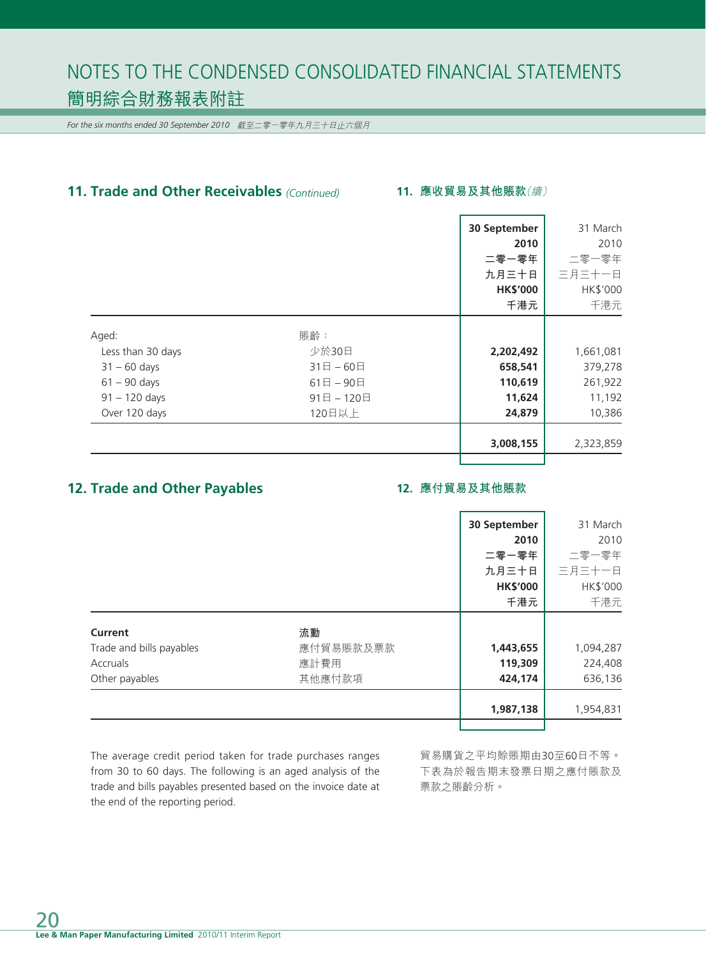*For the six months ended 30 September 2010* 截至二零一零年九月三十日止六個月

# **11. Trade and Other Receivables** *(Continued)*

#### **11. 應收貿易及其他賬款**(續)

|                   |              | 30 September    | 31 March  |
|-------------------|--------------|-----------------|-----------|
|                   |              | 2010            | 2010      |
|                   |              | 二零一零年           | 二零一零年     |
|                   |              | 九月三十日           | 三月三十一日    |
|                   |              | <b>HK\$'000</b> | HK\$'000  |
|                   |              | 千港元             | 千港元       |
| Aged:             | 賬齡:          |                 |           |
| Less than 30 days | 少於30日        | 2,202,492       | 1,661,081 |
| $31 - 60$ days    | $31$ 日 - 60日 | 658,541         | 379,278   |
| $61 - 90$ days    | 61日-90日      | 110,619         | 261,922   |
| $91 - 120$ days   | 91日-120日     | 11,624          | 11,192    |
| Over 120 days     | 120日以上       | 24,879          | 10,386    |
|                   |              | 3,008,155       | 2,323,859 |
|                   |              |                 |           |

# **12. Trade and Other Payables**

#### **12. 應付貿易及其他賬款**

|                          |           | 30 September    | 31 March  |
|--------------------------|-----------|-----------------|-----------|
|                          |           | 2010            | 2010      |
|                          |           | 二零一零年           | 二零一零年     |
|                          |           | 九月三十日           | 三月三十一日    |
|                          |           | <b>HK\$'000</b> | HK\$'000  |
|                          |           | 千港元             | 千港元       |
| Current                  | 流動        |                 |           |
| Trade and bills payables | 應付貿易賬款及票款 | 1,443,655       | 1,094,287 |
| Accruals                 | 應計費用      | 119,309         | 224,408   |
| Other payables           | 其他應付款項    | 424,174         | 636,136   |
|                          |           | 1,987,138       | 1,954,831 |
|                          |           |                 |           |

The average credit period taken for trade purchases ranges from 30 to 60 days. The following is an aged analysis of the trade and bills payables presented based on the invoice date at the end of the reporting period.

貿易購貨之平均賒賬期由30至60日不等。 下表為於報告期末發票日期之應付賬款及 票款之賬齡分析。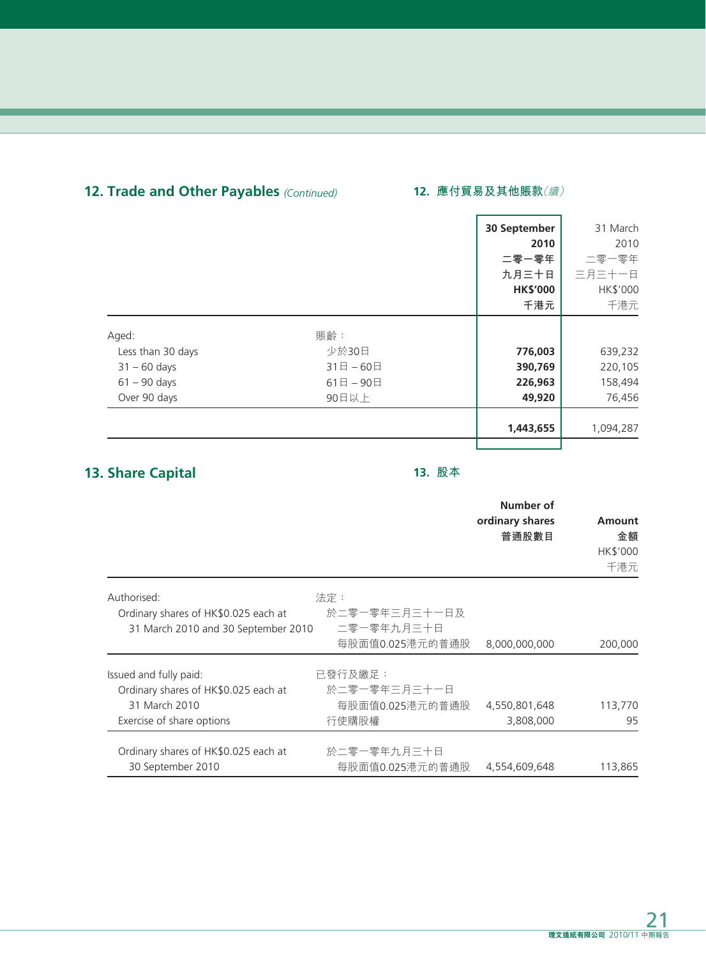# **12. Trade and Other Payables** *(Continued)* **12. 應付貿易及其他賬款**(續)

|                   |              | 30 September    | 31 March  |
|-------------------|--------------|-----------------|-----------|
|                   |              | 2010            | 2010      |
|                   |              | 二零一零年           | 二零一零年     |
|                   |              | 九月三十日           | 三月三十一日    |
|                   |              | <b>HK\$'000</b> | HK\$'000  |
|                   |              | 千港元             | 千港元       |
| Aged:             | 賬齡:          |                 |           |
| Less than 30 days | 少於30日        | 776,003         | 639,232   |
| $31 - 60$ days    | $31$ 日 - 60日 | 390,769         | 220,105   |
| $61 - 90$ days    | $61$ 日 - 90日 | 226,963         | 158,494   |
| Over 90 days      | 90日以上        | 49,920          | 76,456    |
|                   |              | 1,443,655       | 1,094,287 |
|                   |              |                 |           |

# **13. Share Capital**

# **13. 股本**

|                                      |                 | Number of<br>ordinary shares<br>普通股數目 | Amount<br>金額<br>HK\$'000<br>千港元 |
|--------------------------------------|-----------------|---------------------------------------|---------------------------------|
| Authorised:                          | 法定:             |                                       |                                 |
| Ordinary shares of HK\$0.025 each at | 於二零一零年三月三十一日及   |                                       |                                 |
| 31 March 2010 and 30 September 2010  | 二零一零年九月三十日      |                                       |                                 |
|                                      | 每股面值0.025港元的普通股 | 8,000,000,000                         | 200,000                         |
| Issued and fully paid:               | 已發行及繳足:         |                                       |                                 |
| Ordinary shares of HK\$0.025 each at | 於二零一零年三月三十一日    |                                       |                                 |
| 31 March 2010                        | 每股面值0.025港元的普通股 | 4,550,801,648                         | 113,770                         |
| Exercise of share options            | 行使購股權           | 3,808,000                             | 95                              |
| Ordinary shares of HK\$0.025 each at | 於二零一零年九月三十日     |                                       |                                 |
| 30 September 2010                    | 每股面值0.025港元的普通股 | 4,554,609,648                         | 113,865                         |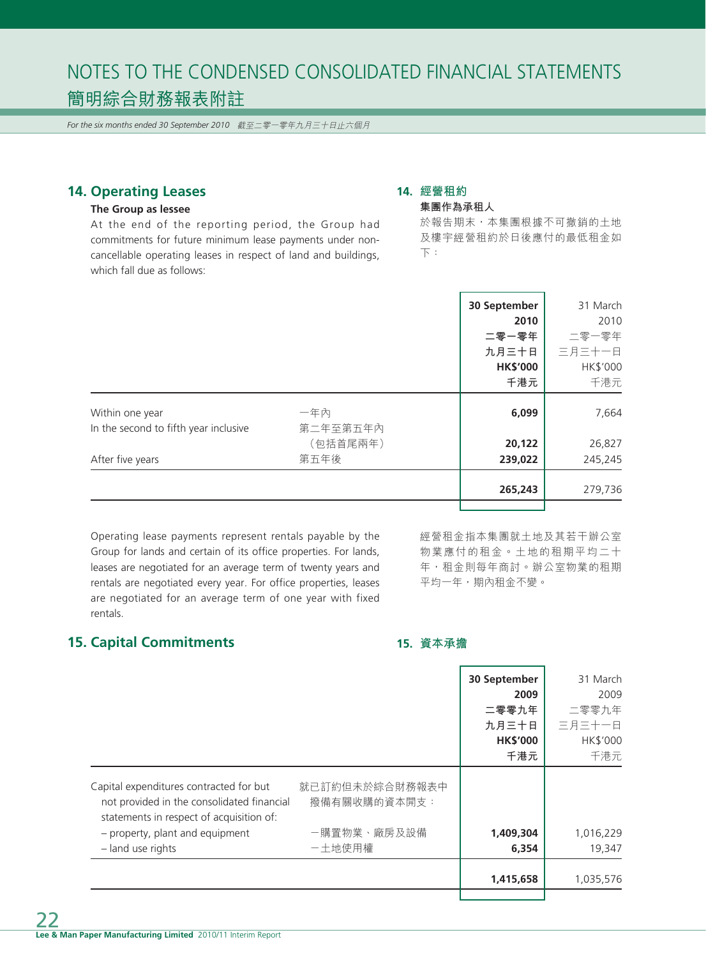*For the six months ended 30 September 2010* 截至二零一零年九月三十日止六個月

# **14. Operating Leases**

#### **The Group as lessee**

At the end of the reporting period, the Group had commitments for future minimum lease payments under noncancellable operating leases in respect of land and buildings, which fall due as follows:

#### **14. 經營租約 集團作為承租人**

於報告期末,本集團根據不可撤銷的土地 及樓宇經營租約於日後應付的最低租金如 下:

|                                       |          | 30 September    | 31 March |
|---------------------------------------|----------|-----------------|----------|
|                                       |          | 2010            | 2010     |
|                                       |          | 二零一零年           | 二零一零年    |
|                                       |          | 九月三十日           | 三月三十一日   |
|                                       |          | <b>HK\$'000</b> | HK\$'000 |
|                                       |          | 千港元             | 千港元      |
| Within one year                       | 一年內      | 6,099           | 7,664    |
| In the second to fifth year inclusive | 第二年至第五年內 |                 |          |
|                                       | (包括首尾兩年) | 20,122          | 26,827   |
| After five years                      | 第五年後     | 239,022         | 245,245  |
|                                       |          | 265,243         | 279,736  |
|                                       |          |                 |          |

Operating lease payments represent rentals payable by the Group for lands and certain of its office properties. For lands, leases are negotiated for an average term of twenty years and rentals are negotiated every year. For office properties, leases are negotiated for an average term of one year with fixed rentals.

經營租金指本集團就土地及其若干辦公室 物業應付的租金。土地的租期平均二十 年,租金則每年商討。辦公室物業的租期 平均一年,期內租金不變。

# **15. Capital Commitments**

#### **15. 資本承擔**

|                                                                                                                                   |                                | 30 September    | 31 March  |
|-----------------------------------------------------------------------------------------------------------------------------------|--------------------------------|-----------------|-----------|
|                                                                                                                                   |                                | 2009            | 2009      |
|                                                                                                                                   |                                | 二零零九年           | 二零零九年     |
|                                                                                                                                   |                                | 九月三十日           | 三月三十一日    |
|                                                                                                                                   |                                | <b>HK\$'000</b> | HK\$'000  |
|                                                                                                                                   |                                | 千港元             | 千港元       |
| Capital expenditures contracted for but<br>not provided in the consolidated financial<br>statements in respect of acquisition of: | 就已訂約但未於綜合財務報表中<br>撥備有關收購的資本開支: |                 |           |
| - property, plant and equipment                                                                                                   | 一購置物業、廠房及設備                    | 1,409,304       | 1,016,229 |
| - land use rights                                                                                                                 | 一土地使用權                         | 6,354           | 19,347    |
|                                                                                                                                   |                                | 1,415,658       | 1,035,576 |
|                                                                                                                                   |                                |                 |           |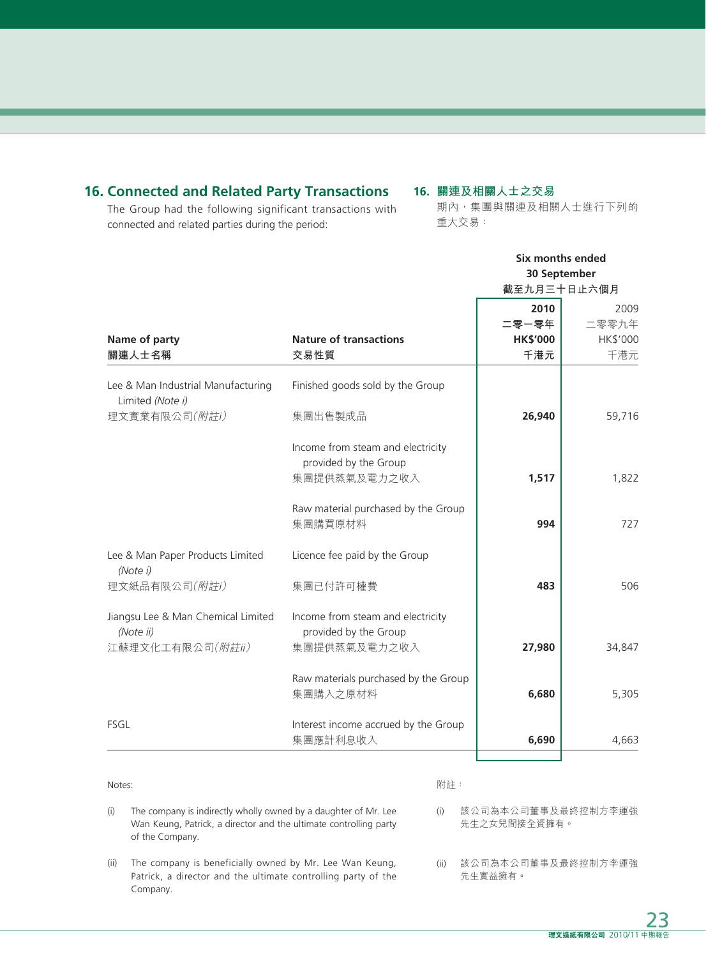# **16. Connected and Related Party Transactions**

# **16. 關連及相關人士之交易**

The Group had the following significant transactions with connected and related parties during the period:

### 期內,集團與關連及相關人士進行下列的 重大交易:

|                                                                         |                                                                            | Six months ended<br>30 September<br>截至九月三十日止六個月 |                                  |
|-------------------------------------------------------------------------|----------------------------------------------------------------------------|-------------------------------------------------|----------------------------------|
| Name of party<br>關連人士名稱                                                 | <b>Nature of transactions</b><br>交易性質                                      | 2010<br>二零一零年<br><b>HK\$'000</b><br>千港元         | 2009<br>二零零九年<br>HK\$'000<br>千港元 |
| Lee & Man Industrial Manufacturing<br>Limited (Note i)<br>理文實業有限公司(附註i) | Finished goods sold by the Group<br>集團出售製成品                                | 26,940                                          | 59,716                           |
|                                                                         | Income from steam and electricity<br>provided by the Group<br>集團提供蒸氣及電力之收入 | 1,517                                           | 1,822                            |
|                                                                         | Raw material purchased by the Group<br>集團購買原材料                             | 994                                             | 727                              |
| Lee & Man Paper Products Limited<br>(Note i)<br>理文紙品有限公司(附註i)           | Licence fee paid by the Group<br>集團已付許可權費                                  | 483                                             | 506                              |
| Jiangsu Lee & Man Chemical Limited<br>(Note ii)<br>江蘇理文化工有限公司(附註ii)     | Income from steam and electricity<br>provided by the Group<br>集團提供蒸氣及電力之收入 | 27,980                                          | 34,847                           |
|                                                                         | Raw materials purchased by the Group<br>集團購入之原材料                           | 6,680                                           | 5,305                            |
| <b>FSGL</b>                                                             | Interest income accrued by the Group<br>集團應計利息收入                           | 6,690                                           | 4,663                            |

Notes:

Company.

附註:

- (i) The company is indirectly wholly owned by a daughter of Mr. Lee Wan Keung, Patrick, a director and the ultimate controlling party of the Company. (i) 該公司為本公司董事及最終控制方李運強 先生之女兒間接全資擁有。
- (ii) The company is beneficially owned by Mr. Lee Wan Keung, Patrick, a director and the ultimate controlling party of the (ii) 該公司為本公司董事及最終控制方李運強 先生實益擁有。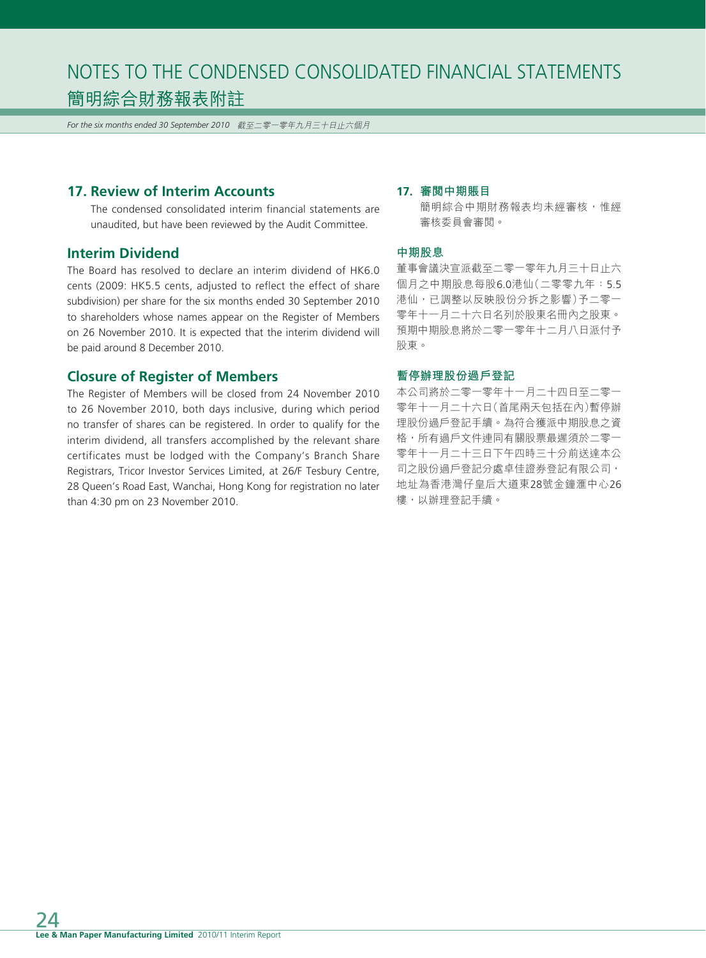*For the six months ended 30 September 2010* 截至二零一零年九月三十日止六個月

# **17. Review of Interim Accounts**

The condensed consolidated interim financial statements are unaudited, but have been reviewed by the Audit Committee.

### **Interim Dividend**

The Board has resolved to declare an interim dividend of HK6.0 cents (2009: HK5.5 cents, adjusted to reflect the effect of share subdivision) per share for the six months ended 30 September 2010 to shareholders whose names appear on the Register of Members on 26 November 2010. It is expected that the interim dividend will be paid around 8 December 2010.

#### **Closure of Register of Members**

The Register of Members will be closed from 24 November 2010 to 26 November 2010, both days inclusive, during which period no transfer of shares can be registered. In order to qualify for the interim dividend, all transfers accomplished by the relevant share certificates must be lodged with the Company's Branch Share Registrars, Tricor Investor Services Limited, at 26/F Tesbury Centre, 28 Queen's Road East, Wanchai, Hong Kong for registration no later than 4:30 pm on 23 November 2010.

#### **17. 審閱中期賬目**

簡明綜合中期財務報表均未經審核,惟經 審核委員會審閱。

#### **中期股息**

董事會議決宣派截至二零一零年九月三十日止六 個月之中期股息每股6.0港仙(二零零九年:5.5 港仙,已調整以反映股份分拆之影響)予二零一 零年十一月二十六日名列於股東名冊內之股東。 預期中期股息將於二零一零年十二月八日派付予 股東。

#### **暫停辦理股份過戶登記**

本公司將於二零一零年十一月二十四日至二零一 零年十一月二十六日(首尾兩天包括在內)暫停辦 理股份過戶登記手續。為符合獲派中期股息之資 格,所有過戶文件連同有關股票最遲須於二零一 零年十一月二十三日下午四時三十分前送達本公 司之股份過戶登記分處卓佳證券登記有限公司, 地址為香港灣仔皇后大道東28號金鐘滙中心26 樓,以辦理登記手續。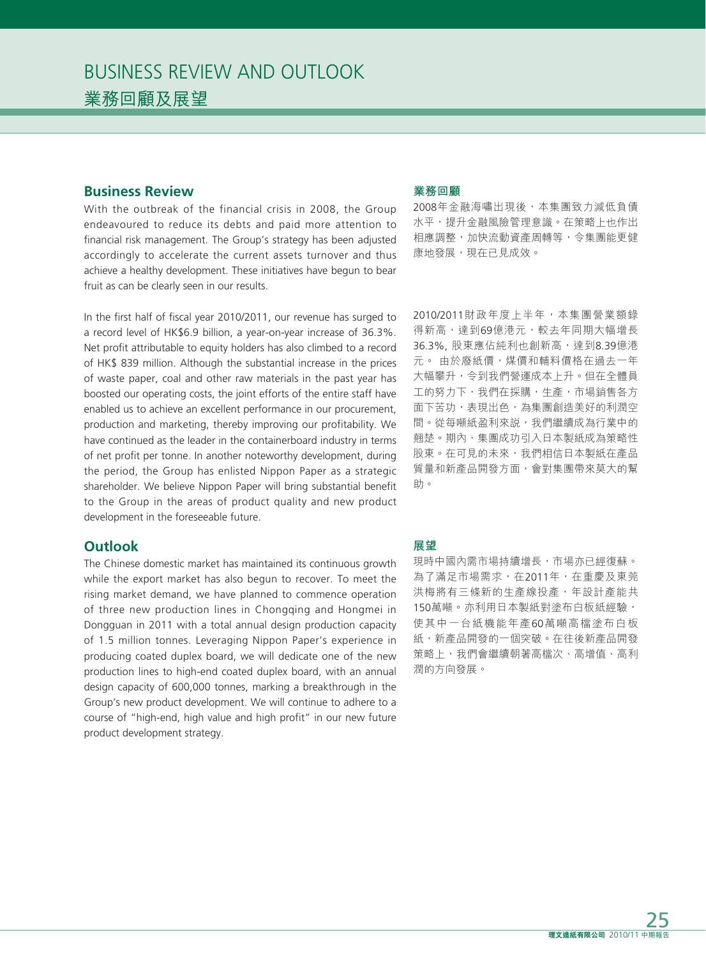# **Business Review**

With the outbreak of the financial crisis in 2008, the Group endeavoured to reduce its debts and paid more attention to financial risk management. The Group's strategy has been adjusted accordingly to accelerate the current assets turnover and thus achieve a healthy development. These initiatives have begun to bear fruit as can be clearly seen in our results.

In the first half of fiscal year 2010/2011, our revenue has surged to a record level of HK\$6.9 billion, a year-on-year increase of 36.3%. Net profit attributable to equity holders has also climbed to a record of HK\$ 839 million. Although the substantial increase in the prices of waste paper, coal and other raw materials in the past year has boosted our operating costs, the joint efforts of the entire staff have enabled us to achieve an excellent performance in our procurement, production and marketing, thereby improving our profitability. We have continued as the leader in the containerboard industry in terms of net profit per tonne. In another noteworthy development, during the period, the Group has enlisted Nippon Paper as a strategic shareholder. We believe Nippon Paper will bring substantial benefit to the Group in the areas of product quality and new product development in the foreseeable future.

# **Outlook**

The Chinese domestic market has maintained its continuous growth while the export market has also begun to recover. To meet the rising market demand, we have planned to commence operation of three new production lines in Chongqing and Hongmei in Dongguan in 2011 with a total annual design production capacity of 1.5 million tonnes. Leveraging Nippon Paper's experience in producing coated duplex board, we will dedicate one of the new production lines to high-end coated duplex board, with an annual design capacity of 600,000 tonnes, marking a breakthrough in the Group's new product development. We will continue to adhere to a course of "high-end, high value and high profit" in our new future product development strategy.

#### **業務回顧**

2008年金融海嘯出現後,本集團致力減低負債 水平,提升金融風險管理意識。在策略上也作出 相應調整,加快流動資產周轉等,令集團能更健 康地發展,現在已見成效。

2010/2011財政年度上半年,本集團營業額錄 得新高,達到69億港元,較去年同期大幅增長 36.3%, 股東應佔純利也創新高,達到8.39億港 元。 由於廢紙價,煤價和輔料價格在過去一年 大幅攀升,令到我們營運成本上升。但在全體員 工的努力下,我們在採購,生產,市場銷售各方 面下苦功,表現出色,為集團創造美好的利潤空 間。從每噸紙盈利來説,我們繼續成為行業中的 翹楚。期內,集團成功引入日本製紙成為策略性 股東。在可見的未來,我們相信日本製紙在產品 質量和新產品開發方面,會對集團帶來莫大的幫 助。

#### **展望**

現時中國內需市場持續增長,市場亦已經復蘇。 為了滿足市場需求,在2011年,在重慶及東莞 洪梅將有三條新的生產線投產,年設計產能共 150萬噸。亦利用日本製紙對塗布白板紙經驗, 使其中一台紙機能年產60萬噸高檔塗布白板 紙,新產品開發的一個突破。在往後新產品開發 策略上,我們會繼續朝著高檔次、高增值、高利 潤的方向發展。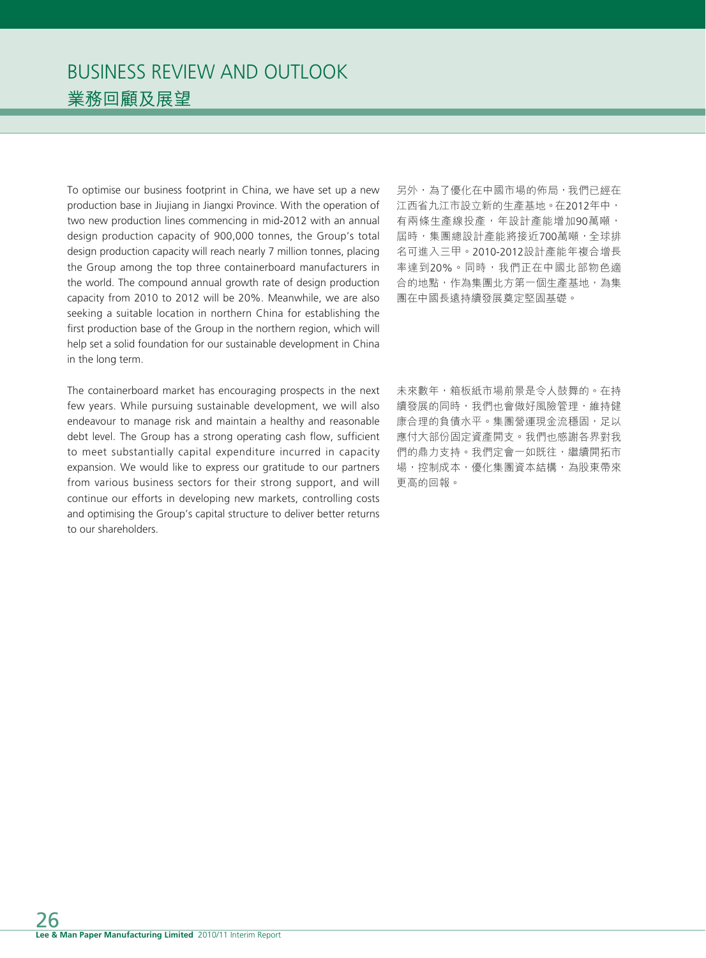To optimise our business footprint in China, we have set up a new production base in Jiujiang in Jiangxi Province. With the operation of two new production lines commencing in mid-2012 with an annual design production capacity of 900,000 tonnes, the Group's total design production capacity will reach nearly 7 million tonnes, placing the Group among the top three containerboard manufacturers in the world. The compound annual growth rate of design production capacity from 2010 to 2012 will be 20%. Meanwhile, we are also seeking a suitable location in northern China for establishing the first production base of the Group in the northern region, which will help set a solid foundation for our sustainable development in China in the long term.

The containerboard market has encouraging prospects in the next few years. While pursuing sustainable development, we will also endeavour to manage risk and maintain a healthy and reasonable debt level. The Group has a strong operating cash flow, sufficient to meet substantially capital expenditure incurred in capacity expansion. We would like to express our gratitude to our partners from various business sectors for their strong support, and will continue our efforts in developing new markets, controlling costs and optimising the Group's capital structure to deliver better returns to our shareholders.

另外,為了優化在中國市場的佈局,我們已經在 江西省九江市設立新的生產基地。在2012年中, 有兩條生產線投產,年設計產能增加90萬噸, 屆時,集團總設計產能將接近700萬噸,全球排 名可進入三甲。2010-2012設計產能年複合增長 率達到20%。同時,我們正在中國北部物色適 合的地點,作為集團北方第一個生產基地,為集 團在中國長遠持續發展奠定堅固基礎。

未來數年,箱板紙市場前景是令人鼓舞的。在持 續發展的同時,我們也會做好風險管理,維持健 康合理的負債水平。集團營運現金流穩固,足以 應付大部份固定資產開支。我們也感謝各界對我 們的鼎力支持。我們定會一如既往,繼續開拓市 場,控制成本,優化集團資本結構,為股東帶來 更高的回報。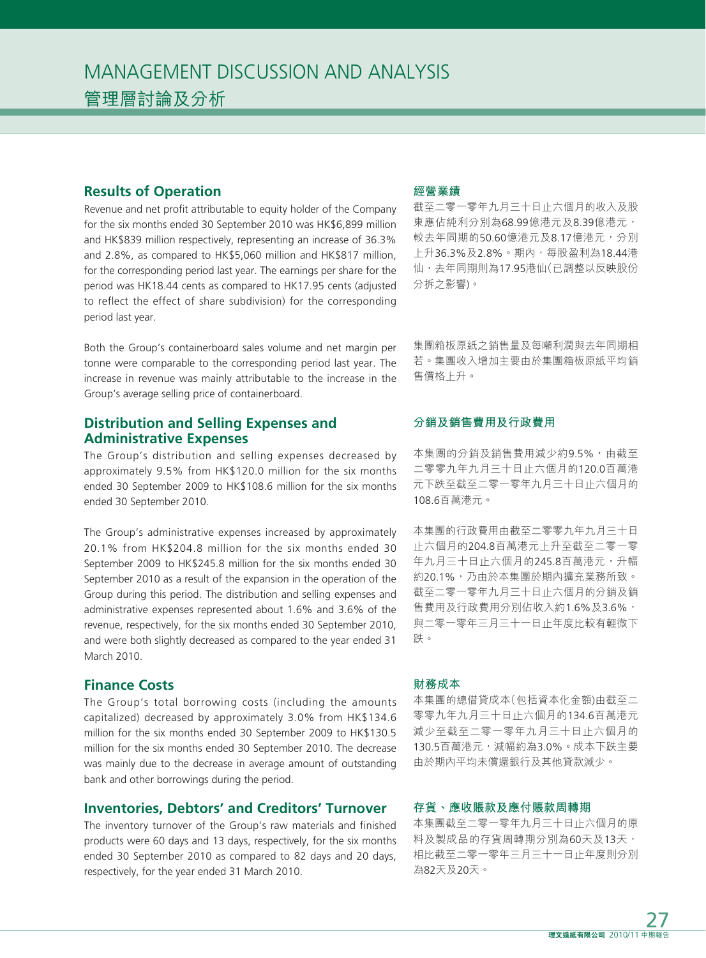# **Results of Operation**

Revenue and net profit attributable to equity holder of the Company for the six months ended 30 September 2010 was HK\$6,899 million and HK\$839 million respectively, representing an increase of 36.3% and 2.8%, as compared to HK\$5,060 million and HK\$817 million, for the corresponding period last year. The earnings per share for the period was HK18.44 cents as compared to HK17.95 cents (adjusted to reflect the effect of share subdivision) for the corresponding period last year.

Both the Group's containerboard sales volume and net margin per tonne were comparable to the corresponding period last year. The increase in revenue was mainly attributable to the increase in the Group's average selling price of containerboard.

# **Distribution and Selling Expenses and Administrative Expenses**

The Group's distribution and selling expenses decreased by approximately 9.5% from HK\$120.0 million for the six months ended 30 September 2009 to HK\$108.6 million for the six months ended 30 September 2010.

The Group's administrative expenses increased by approximately 20.1% from HK\$204.8 million for the six months ended 30 September 2009 to HK\$245.8 million for the six months ended 30 September 2010 as a result of the expansion in the operation of the Group during this period. The distribution and selling expenses and administrative expenses represented about 1.6% and 3.6% of the revenue, respectively, for the six months ended 30 September 2010, and were both slightly decreased as compared to the year ended 31 March 2010.

# **Finance Costs**

The Group's total borrowing costs (including the amounts capitalized) decreased by approximately 3.0% from HK\$134.6 million for the six months ended 30 September 2009 to HK\$130.5 million for the six months ended 30 September 2010. The decrease was mainly due to the decrease in average amount of outstanding bank and other borrowings during the period.

### **Inventories, Debtors' and Creditors' Turnover**

The inventory turnover of the Group's raw materials and finished products were 60 days and 13 days, respectively, for the six months ended 30 September 2010 as compared to 82 days and 20 days, respectively, for the year ended 31 March 2010.

### **經營業績**

截至二零一零年九月三十日止六個月的收入及股 東應佔純利分別為68.99億港元及8.39億港元, 較去年同期的50.60億港元及8.17億港元,分別 上升36.3%及2.8%。期內,每股盈利為18.44港 仙,去年同期則為17.95港仙(已調整以反映股份 分拆之影響)。

集團箱板原紙之銷售量及每噸利潤與去年同期相 若。集團收入增加主要由於集團箱板原紙平均銷 售價格上升。

#### **分銷及銷售費用及行政費用**

本集團的分銷及銷售費用減少約9.5%,由截至 二零零九年九月三十日止六個月的120.0百萬港 元下跌至截至二零一零年九月三十日止六個月的 108.6百萬港元。

本集團的行政費用由截至二零零九年九月三十日 止六個月的204.8百萬港元上升至截至二零一零 年九月三十日止六個月的245.8百萬港元,升幅 約20.1%,乃由於本集團於期內擴充業務所致。 截至二零一零年九月三十日止六個月的分銷及銷 售費用及行政費用分別佔收入約1.6%及3.6%, 與二零一零年三月三十一日止年度比較有輕微下 跌。

#### **財務成本**

本集團的總借貸成本(包括資本化金額)由截至二 零零九年九月三十日止六個月的134.6百萬港元 減少至截至二零一零年九月三十日止六個月的 130.5百萬港元,減幅約為3.0%。成本下跌主要 由於期內平均未償還銀行及其他貸款減少。

#### **存貨、應收賬款及應付賬款周轉期**

本集團截至二零一零年九月三十日止六個月的原 料及製成品的存貨周轉期分別為60天及13天, 相比截至二零一零年三月三十一日止年度則分別 為82天及20天。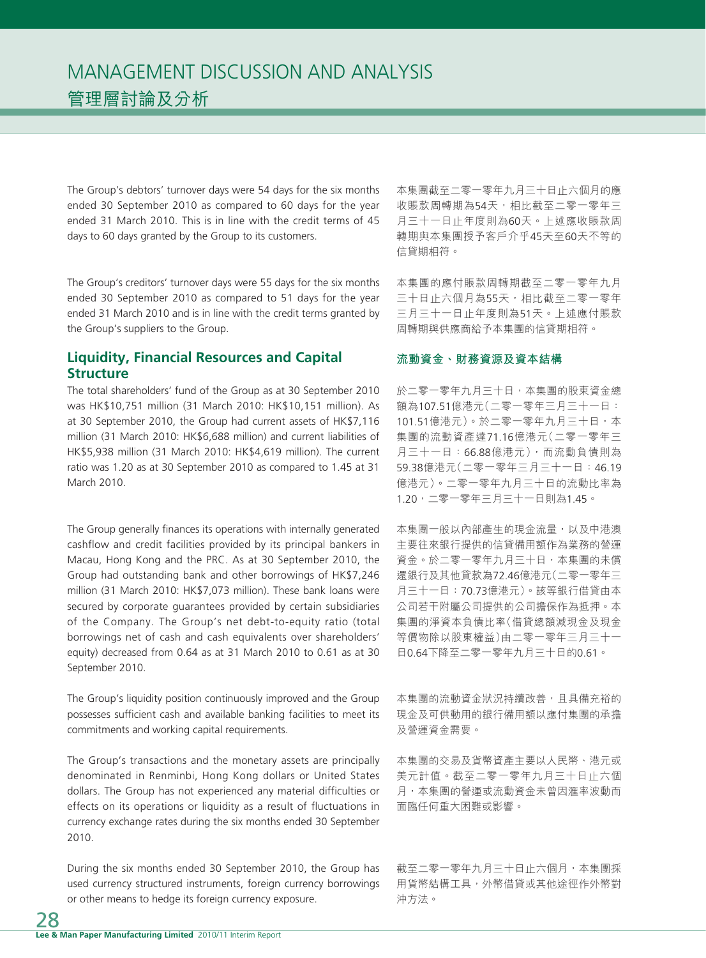The Group's debtors' turnover days were 54 days for the six months ended 30 September 2010 as compared to 60 days for the year ended 31 March 2010. This is in line with the credit terms of 45 days to 60 days granted by the Group to its customers.

The Group's creditors' turnover days were 55 days for the six months ended 30 September 2010 as compared to 51 days for the year ended 31 March 2010 and is in line with the credit terms granted by the Group's suppliers to the Group.

# **Liquidity, Financial Resources and Capital Structure**

The total shareholders' fund of the Group as at 30 September 2010 was HK\$10,751 million (31 March 2010: HK\$10,151 million). As at 30 September 2010, the Group had current assets of HK\$7,116 million (31 March 2010: HK\$6,688 million) and current liabilities of HK\$5,938 million (31 March 2010: HK\$4,619 million). The current ratio was 1.20 as at 30 September 2010 as compared to 1.45 at 31 March 2010.

The Group generally finances its operations with internally generated cashflow and credit facilities provided by its principal bankers in Macau, Hong Kong and the PRC. As at 30 September 2010, the Group had outstanding bank and other borrowings of HK\$7,246 million (31 March 2010: HK\$7,073 million). These bank loans were secured by corporate guarantees provided by certain subsidiaries of the Company. The Group's net debt-to-equity ratio (total borrowings net of cash and cash equivalents over shareholders' equity) decreased from 0.64 as at 31 March 2010 to 0.61 as at 30 September 2010.

The Group's liquidity position continuously improved and the Group possesses sufficient cash and available banking facilities to meet its commitments and working capital requirements.

The Group's transactions and the monetary assets are principally denominated in Renminbi, Hong Kong dollars or United States dollars. The Group has not experienced any material difficulties or effects on its operations or liquidity as a result of fluctuations in currency exchange rates during the six months ended 30 September 2010.

During the six months ended 30 September 2010, the Group has used currency structured instruments, foreign currency borrowings or other means to hedge its foreign currency exposure.

本集團截至二零一零年九月三十日止六個月的應 收賬款周轉期為54天,相比截至二零一零年三 月三十一日止年度則為60天。上述應收賬款周 轉期與本集團授予客戶介乎45天至60天不等的 信貸期相符。

本集團的應付賬款周轉期截至二零一零年九月 三十日止六個月為55天,相比截至二零一零年 三月三十一日止年度則為51天。上述應付賬款 周轉期與供應商給予本集團的信貸期相符。

#### **流動資金、財務資源及資本結構**

於二零一零年九月三十日,本集團的股東資金總 額為107.51億港元(二零一零年三月三十一日: 101.51億港元)。於二零一零年九月三十日,本 集團的流動資產達71.16億港元(二零一零年三 月三十一日:66.88億港元),而流動負債則為 59.38億港元(二零一零年三月三十一日:46.19 億港元)。二零一零年九月三十日的流動比率為 1.20,二零一零年三月三十一日則為1.45。

本集團一般以內部產生的現金流量,以及中港澳 主要往來銀行提供的信貸備用額作為業務的營運 資金。於二零一零年九月三十日,本集團的未償 還銀行及其他貸款為72.46億港元(二零一零年三 月三十一日:70.73億港元)。該等銀行借貸由本 公司若干附屬公司提供的公司擔保作為抵押。本 集團的淨資本負債比率(借貸總額減現金及現金 等價物除以股東權益)由二零一零年三月三十一 日0.64下降至二零一零年九月三十日的0.61。

本集團的流動資金狀況持續改善,且具備充裕的 現金及可供動用的銀行備用額以應付集團的承擔 及營運資金需要。

本集團的交易及貨幣資產主要以人民幣、港元或 美元計值。截至二零一零年九月三十日止六個 月,本集團的營運或流動資金未曾因滙率波動而 面臨任何重大困難或影響。

截至二零一零年九月三十日止六個月,本集團採 用貨幣結構工具,外幣借貸或其他途徑作外幣對 沖方法。

28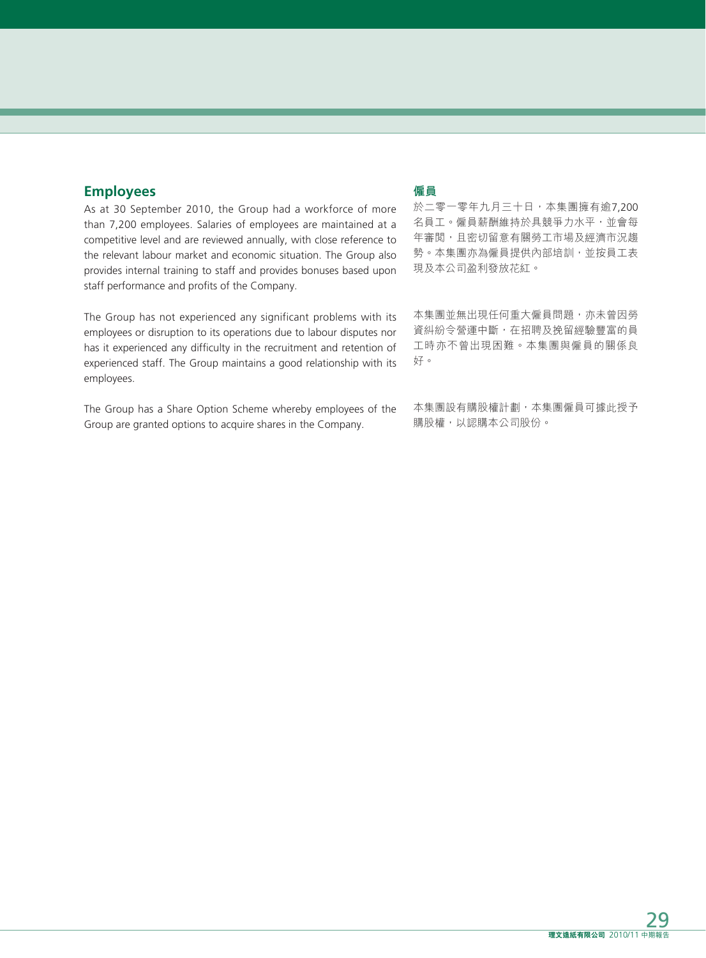# **Employees**

As at 30 September 2010, the Group had a workforce of more than 7,200 employees. Salaries of employees are maintained at a competitive level and are reviewed annually, with close reference to the relevant labour market and economic situation. The Group also provides internal training to staff and provides bonuses based upon staff performance and profits of the Company.

The Group has not experienced any significant problems with its employees or disruption to its operations due to labour disputes nor has it experienced any difficulty in the recruitment and retention of experienced staff. The Group maintains a good relationship with its employees.

The Group has a Share Option Scheme whereby employees of the Group are granted options to acquire shares in the Company.

# **僱員**

於二零一零年九月三十日,本集團擁有逾7,200 名員工。僱員薪酬維持於具競爭力水平,並會每 年審閲,且密切留意有關勞工市場及經濟市況趨 勢。本集團亦為僱員提供內部培訓,並按員工表 現及本公司盈利發放花紅。

本集團並無出現任何重大僱員問題,亦未曾因勞 資糾紛令營運中斷,在招聘及挽留經驗豐富的員 工時亦不曾出現困難。本集團與僱員的關係良 好。

本集團設有購股權計劃,本集團僱員可據此授予 購股權,以認購本公司股份。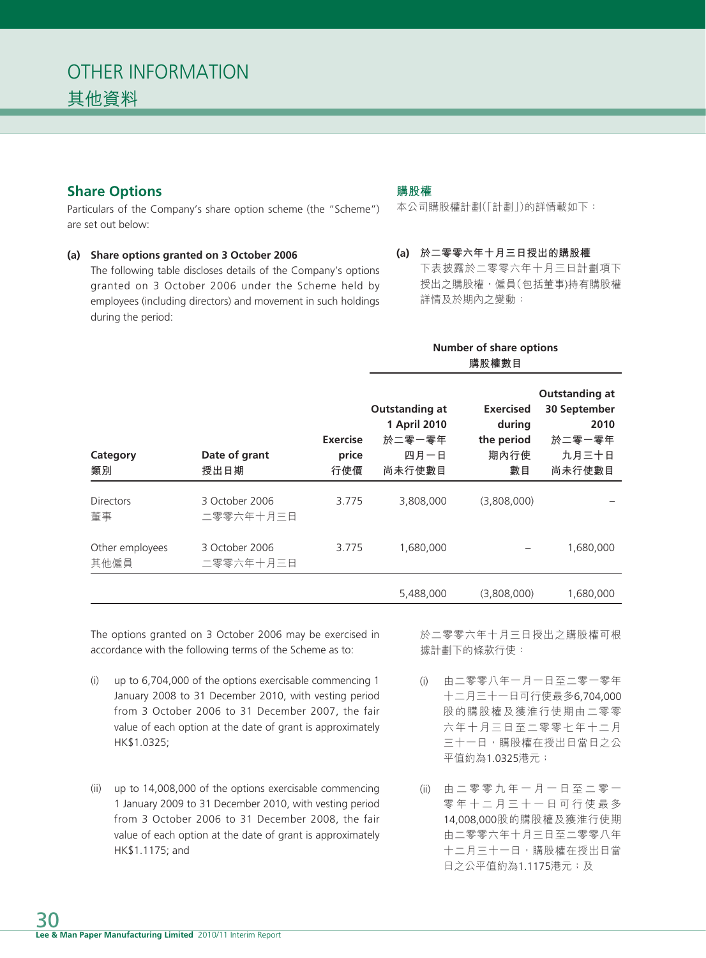# **Share Options**

Particulars of the Company's share option scheme (the "Scheme") are set out below:

#### **(a) Share options granted on 3 October 2006**

The following table discloses details of the Company's options granted on 3 October 2006 under the Scheme held by employees (including directors) and movement in such holdings during the period:

# **購股權**

本公司購股權計劃(「計劃」)的詳情載如下:

**(a) 於二零零六年十月三日授出的購股權** 下表披露於二零零六年十月三日計劃項下 授出之購股權,僱員(包括董事)持有購股權 詳情及於期內之變動:

### **Number of share options 購股權數目**

| Category<br>類別          | Date of grant<br>授出日期       | <b>Exercise</b><br>price<br>行使價 | <b>Outstanding at</b><br>1 April 2010<br>於二零一零年<br>四月一日<br>尚未行使數目 | <b>Exercised</b><br>during<br>the period<br>期內行使<br>數目 | Outstanding at<br>30 September<br>2010<br>於二零一零年<br>九月三十日<br>尚未行使數目 |
|-------------------------|-----------------------------|---------------------------------|-------------------------------------------------------------------|--------------------------------------------------------|---------------------------------------------------------------------|
| <b>Directors</b><br>董事  | 3 October 2006<br>二零零六年十月三日 | 3.775                           | 3,808,000                                                         | (3,808,000)                                            |                                                                     |
| Other employees<br>其他僱員 | 3 October 2006<br>二零零六年十月三日 | 3.775                           | 1,680,000                                                         |                                                        | 1,680,000                                                           |
|                         |                             |                                 | 5.488.000                                                         | (3.808.000)                                            | 1.680.000                                                           |

The options granted on 3 October 2006 may be exercised in accordance with the following terms of the Scheme as to:

- (i) up to 6,704,000 of the options exercisable commencing 1 January 2008 to 31 December 2010, with vesting period from 3 October 2006 to 31 December 2007, the fair value of each option at the date of grant is approximately HK\$1.0325;
- (ii) up to 14,008,000 of the options exercisable commencing 1 January 2009 to 31 December 2010, with vesting period from 3 October 2006 to 31 December 2008, the fair value of each option at the date of grant is approximately HK\$1.1175; and

於二零零六年十月三日授出之購股權可根 據計劃下的條款行使:

- (i) 由二零零八年一月一日至二零一零年 十二月三十一日可行使最多6,704,000 股的購股權及獲淮行使期由二零零 六年十月三日至二零零七年十二月 三十一日,購股權在授出日當日之公 平值約為1.0325港元;
- (ii) 由二零零九年一月一日至二零一 零年十二月三十一日可行使最多 14,008,000股的購股權及獲淮行使期 由二零零六年十月三日至二零零八年 十二月三十一日,購股權在授出日當 日之公平值約為1.1175港元;及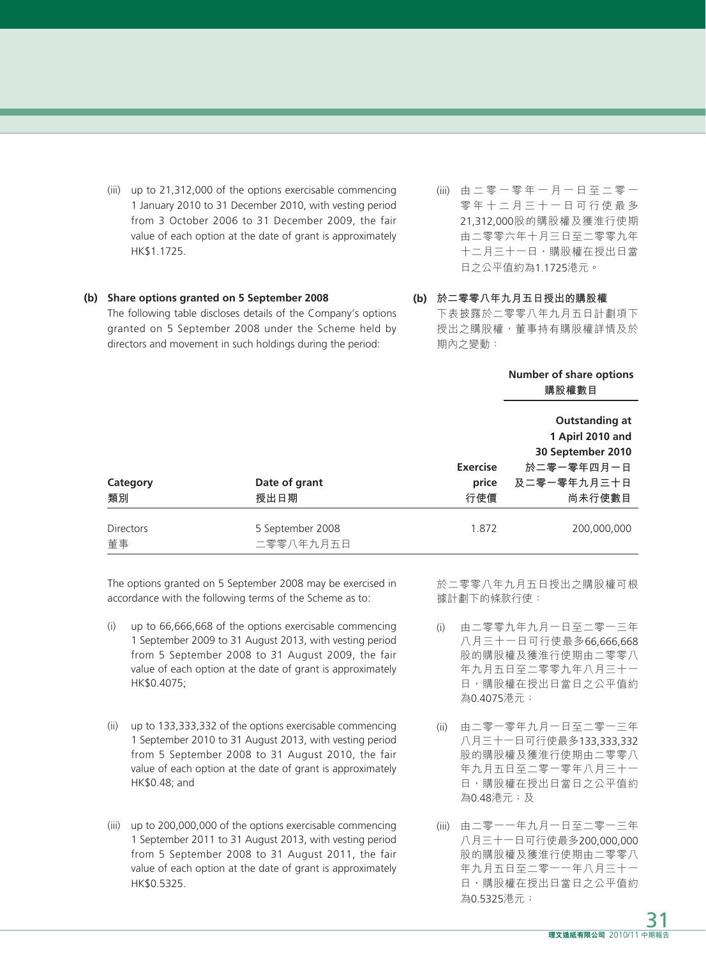(iii) up to 21,312,000 of the options exercisable commencing 1 January 2010 to 31 December 2010, with vesting period from 3 October 2006 to 31 December 2009, the fair value of each option at the date of grant is approximately HK\$1.1725.

#### **(b) Share options granted on 5 September 2008**

The following table discloses details of the Company's options granted on 5 September 2008 under the Scheme held by directors and movement in such holdings during the period:

- (iii) 由二零一零年一月一日至二零一 零年十二月三十一日可行使最多 21,312,000股的購股權及獲淮行使期 由二零零六年十月三日至二零零九年 十二月三十一日,購股權在授出日當 日之公平值約為1.1725港元。
- **(b) 於二零零八年九月五日授出的購股權** 下表披露於二零零八年九月五日計劃項下 授出之購股權,董事持有購股權詳情及於 期內之變動:

|                        |                               |                                 | Number of share options<br>購股權數目                                                                      |  |
|------------------------|-------------------------------|---------------------------------|-------------------------------------------------------------------------------------------------------|--|
| Category<br>類別         | Date of grant<br>授出日期         | <b>Exercise</b><br>price<br>行使價 | <b>Outstanding at</b><br>1 Apirl 2010 and<br>30 September 2010<br>於二零一零年四月一日<br>及二零一零年九月三十日<br>尚未行使數目 |  |
| <b>Directors</b><br>董事 | 5 September 2008<br>二零零八年九月五日 | 1.872                           | 200.000.000                                                                                           |  |

The options granted on 5 September 2008 may be exercised in accordance with the following terms of the Scheme as to:

- (i) up to 66,666,668 of the options exercisable commencing 1 September 2009 to 31 August 2013, with vesting period from 5 September 2008 to 31 August 2009, the fair value of each option at the date of grant is approximately HK\$0.4075;
- (ii) up to 133,333,332 of the options exercisable commencing 1 September 2010 to 31 August 2013, with vesting period from 5 September 2008 to 31 August 2010, the fair value of each option at the date of grant is approximately HK\$0.48; and
- (iii) up to 200,000,000 of the options exercisable commencing 1 September 2011 to 31 August 2013, with vesting period from 5 September 2008 to 31 August 2011, the fair value of each option at the date of grant is approximately HK\$0.5325.

於二零零八年九月五日授出之購股權可根 據計劃下的條款行使:

- (i) 由二零零九年九月一日至二零一三年 八月三十一日可行使最多66,666,668 股的購股權及獲淮行使期由二零零八 年九月五日至二零零九年八月三十一 日,購股權在授出日當日之公平值約 為0.4075港元;
- (ii) 由二零一零年九月一日至二零一三年 八月三十一日可行使最多133,333,332 股的購股權及獲淮行使期由二零零八 年九月五日至二零一零年八月三十一 日,購股權在授出日當日之公平值約 為0.48港元;及
- (iii) 由二零一一年九月一日至二零一三年 八月三十一日可行使最多200,000,000 股的購股權及獲淮行使期由二零零八 年九月五日至二零一一年八月三十一 日,購股權在授出日當日之公平值約 為0.5325港元;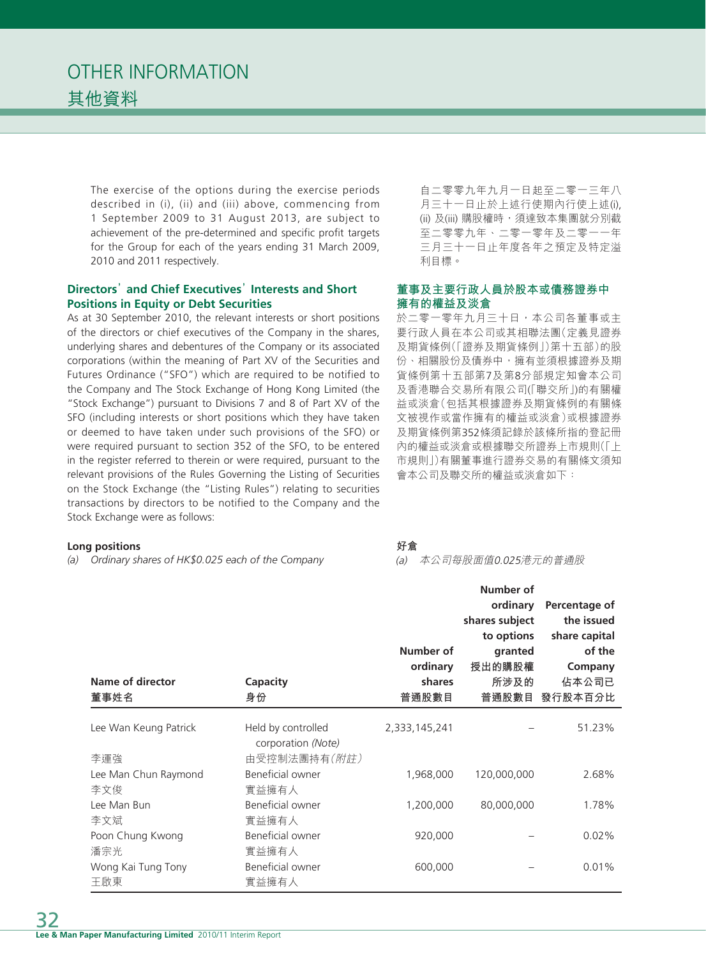The exercise of the options during the exercise periods described in (i), (ii) and (iii) above, commencing from 1 September 2009 to 31 August 2013, are subject to achievement of the pre-determined and specific profit targets for the Group for each of the years ending 31 March 2009, 2010 and 2011 respectively.

### **Directors' and Chief Executives' Interests and Short Positions in Equity or Debt Securities**

As at 30 September 2010, the relevant interests or short positions of the directors or chief executives of the Company in the shares, underlying shares and debentures of the Company or its associated corporations (within the meaning of Part XV of the Securities and Futures Ordinance ("SFO") which are required to be notified to the Company and The Stock Exchange of Hong Kong Limited (the "Stock Exchange") pursuant to Divisions 7 and 8 of Part XV of the SFO (including interests or short positions which they have taken or deemed to have taken under such provisions of the SFO) or were required pursuant to section 352 of the SFO, to be entered in the register referred to therein or were required, pursuant to the relevant provisions of the Rules Governing the Listing of Securities on the Stock Exchange (the "Listing Rules") relating to securities transactions by directors to be notified to the Company and the Stock Exchange were as follows:

#### **Long positions**

*(a) Ordinary shares of HK\$0.025 each of the Company*

自二零零九年九月一日起至二零一三年八 月三十一日止於上述行使期內行使上述(i), (ii) 及(iii) 購股權時,須達致本集團就分別截 至二零零九年、二零一零年及二零一一年 三月三十一日止年度各年之預定及特定溢 利目標。

### **董事及主要行政人員於股本或債務證券中 擁有的權益及淡倉**

於二零一零年九月三十日,本公司各董事或主 要行政人員在本公司或其相聯法團(定義見證券 及期貨條例(「證券及期貨條例」)第十五部)的股 份、相關股份及債券中,擁有並須根據證券及期 貨條例第十五部第7及第8分部規定知會本公司 及香港聯合交易所有限公司(「聯交所」)的有關權 益或淡倉(包括其根據證券及期貨條例的有關條 文被視作或當作擁有的權益或淡倉)或根據證券 及期貨條例第352條須記錄於該條所指的登記冊 內的權益或淡倉或根據聯交所證券上市規則(「上 市規則」)有關董事進行證券交易的有關條文須知 會本公司及聯交所的權益或淡倉如下:

### **好倉**

(a) 本公司每股面值0.025港元的普通股

| Name of director<br>董事姓名     | Capacity<br>身份                                           | Number of<br>ordinary<br>shares<br>普通股數目 | Number of<br>ordinary<br>shares subject<br>to options<br>granted<br>授出的購股權<br>所涉及的<br>普通股數目 | Percentage of<br>the issued<br>share capital<br>of the<br>Company<br>佔本公司已<br>發行股本百分比 |
|------------------------------|----------------------------------------------------------|------------------------------------------|---------------------------------------------------------------------------------------------|---------------------------------------------------------------------------------------|
| Lee Wan Keung Patrick<br>李運強 | Held by controlled<br>corporation (Note)<br>由受控制法團持有(附註) | 2,333,145,241                            |                                                                                             | 51.23%                                                                                |
| Lee Man Chun Raymond<br>李文俊  | Beneficial owner<br>實益擁有人                                | 1,968,000                                | 120,000,000                                                                                 | 2.68%                                                                                 |
| Lee Man Bun<br>李文斌           | Beneficial owner<br>實益擁有人                                | 1,200,000                                | 80,000,000                                                                                  | 1.78%                                                                                 |
| Poon Chung Kwong<br>潘宗光      | Beneficial owner<br>實益擁有人                                | 920,000                                  |                                                                                             | 0.02%                                                                                 |
| Wong Kai Tung Tony<br>王啟東    | Beneficial owner<br>實益擁有人                                | 600,000                                  |                                                                                             | 0.01%                                                                                 |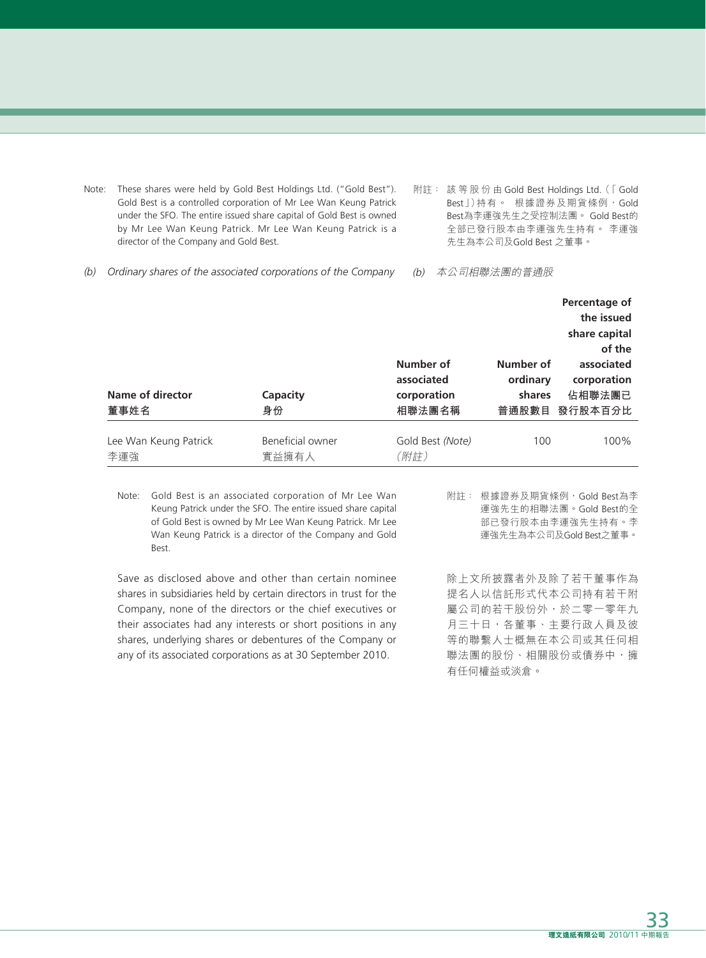- Note: These shares were held by Gold Best Holdings Ltd. ("Gold Best"). Gold Best is a controlled corporation of Mr Lee Wan Keung Patrick under the SFO. The entire issued share capital of Gold Best is owned by Mr Lee Wan Keung Patrick. Mr Lee Wan Keung Patrick is a director of the Company and Gold Best.
- 附註: 該等股份由 Gold Best Holdings Ltd. (「 Gold Best」)持有。 根據證券及期貨條例, Gold Best為李運強先生之受控制法團。 Gold Best的 全部已發行股本由李運強先生持有。 李運強 先生為本公司及Gold Best 之董事。
- *(b) Ordinary shares of the associated corporations of the Company*
- (b) 本公司相聯法團的普通股

|                              |                           |                                                  |                                 | Percentage of<br>the issued<br>share capital<br>of the |
|------------------------------|---------------------------|--------------------------------------------------|---------------------------------|--------------------------------------------------------|
| Name of director<br>董事姓名     | Capacity<br>身份            | Number of<br>associated<br>corporation<br>相聯法團名稱 | Number of<br>ordinary<br>shares | associated<br>corporation<br>佔相聯法團已<br>普通股數目 發行股本百分比   |
| Lee Wan Keung Patrick<br>李運強 | Beneficial owner<br>實益擁有人 | Gold Best (Note)<br>(附註)                         | 100                             | 100%                                                   |

Note: Gold Best is an associated corporation of Mr Lee Wan Keung Patrick under the SFO. The entire issued share capital of Gold Best is owned by Mr Lee Wan Keung Patrick. Mr Lee Wan Keung Patrick is a director of the Company and Gold Best.

Save as disclosed above and other than certain nominee shares in subsidiaries held by certain directors in trust for the Company, none of the directors or the chief executives or their associates had any interests or short positions in any shares, underlying shares or debentures of the Company or any of its associated corporations as at 30 September 2010.

附註: 根據證券及期貨條例,Gold Best為李 運強先生的相聯法團。Gold Best的全 部已發行股本由李運強先生持有。李 運強先生為本公司及Gold Best之董事。

除上文所披露者外及除了若干董事作為 提名人以信託形式代本公司持有若干附 屬公司的若干股份外,於二零一零年九 月三十日,各董事、主要行政人員及彼 等的聯繫人士概無在本公司或其任何相 聯法團的股份、相關股份或債券中,擁 有任何權益或淡倉。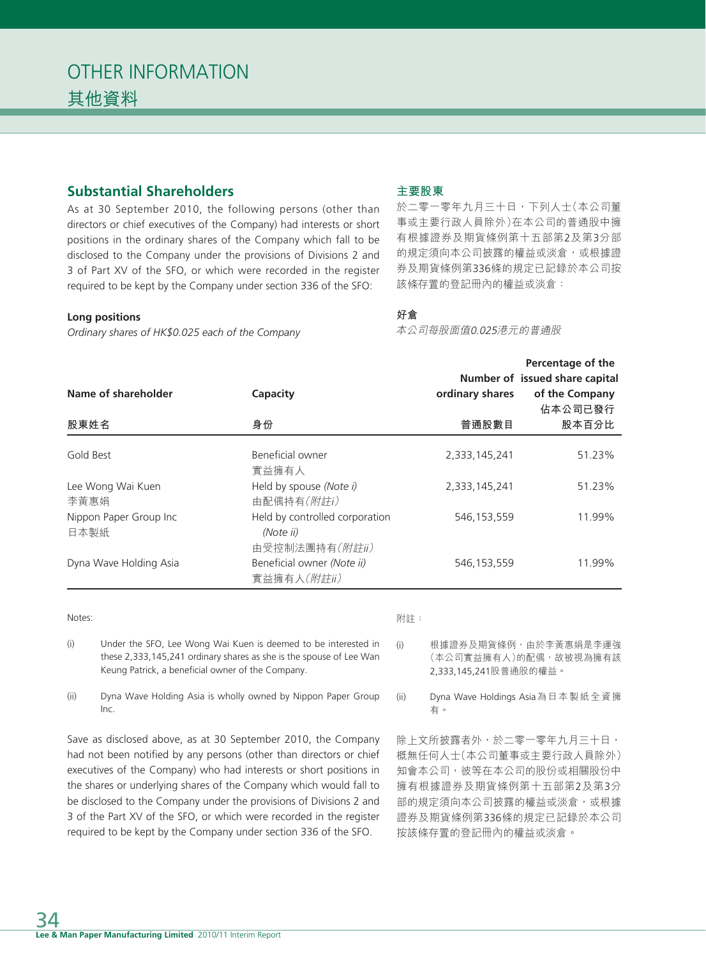# **Substantial Shareholders**

As at 30 September 2010, the following persons (other than directors or chief executives of the Company) had interests or short positions in the ordinary shares of the Company which fall to be disclosed to the Company under the provisions of Divisions 2 and 3 of Part XV of the SFO, or which were recorded in the register required to be kept by the Company under section 336 of the SFO:

#### **Long positions**

*Ordinary shares of HK\$0.025 each of the Company*

#### **主要股東**

於二零一零年九月三十日,下列人士(本公司董 事或主要行政人員除外)在本公司的普通股中擁 有根據證券及期貨條例第十五部第2及第3分部 的規定須向本公司披露的權益或淡倉,或根據證 券及期貨條例第336條的規定已記錄於本公司按 該條存置的登記冊內的權益或淡倉:

# **好倉**

本公司每股面值0.025港元的普通股

|                                |                                                               |                 | Percentage of the<br>Number of issued share capital |
|--------------------------------|---------------------------------------------------------------|-----------------|-----------------------------------------------------|
| Name of shareholder            | Capacity                                                      | ordinary shares | of the Company<br>佔本公司已發行                           |
| 股東姓名                           | 身份                                                            | 普通股數目           | 股本百分比                                               |
| Gold Best                      | Beneficial owner<br>實益擁有人                                     | 2,333,145,241   | 51.23%                                              |
| Lee Wong Wai Kuen<br>李黃惠娟      | Held by spouse (Note i)<br>由配偶持有(附註i)                         | 2,333,145,241   | 51.23%                                              |
| Nippon Paper Group Inc<br>日本製紙 | Held by controlled corporation<br>(Note ii)<br>由受控制法團持有(附註ii) | 546,153,559     | 11.99%                                              |
| Dyna Wave Holding Asia         | Beneficial owner (Note ii)<br>實益擁有人(附註ii)                     | 546,153,559     | 11.99%                                              |

#### Notes:

附註:

- (i) Under the SFO, Lee Wong Wai Kuen is deemed to be interested in these 2,333,145,241 ordinary shares as she is the spouse of Lee Wan Keung Patrick, a beneficial owner of the Company.
- (ii) Dyna Wave Holding Asia is wholly owned by Nippon Paper Group Inc.

Save as disclosed above, as at 30 September 2010, the Company had not been notified by any persons (other than directors or chief executives of the Company) who had interests or short positions in the shares or underlying shares of the Company which would fall to be disclosed to the Company under the provisions of Divisions 2 and 3 of the Part XV of the SFO, or which were recorded in the register required to be kept by the Company under section 336 of the SFO.

(本公司實益擁有人)的配偶,故被視為擁有該 2,333,145,241股普通股的權益。

(i) 根據證券及期貨條例,由於李黃惠娟是李運強

(ii) Dyna Wave Holdings Asia為日本製紙全資擁 有。

除上文所披露者外,於二零一零年九月三十日, 概無任何人士(本公司董事或主要行政人員除外) 知會本公司,彼等在本公司的股份或相關股份中 擁有根據證券及期貨條例第十五部第2及第3分 部的規定須向本公司披露的權益或淡倉,或根據 證券及期貨條例第336條的規定已記錄於本公司 按該條存置的登記冊內的權益或淡倉。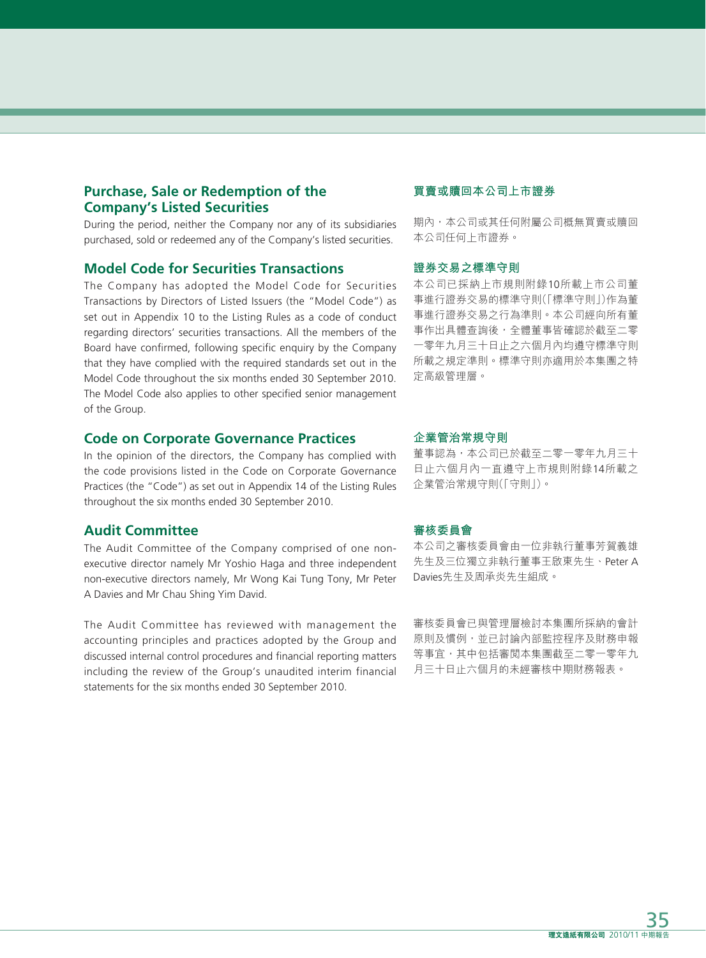# **Purchase, Sale or Redemption of the Company's Listed Securities**

During the period, neither the Company nor any of its subsidiaries purchased, sold or redeemed any of the Company's listed securities.

### **Model Code for Securities Transactions**

The Company has adopted the Model Code for Securities Transactions by Directors of Listed Issuers (the "Model Code") as set out in Appendix 10 to the Listing Rules as a code of conduct regarding directors' securities transactions. All the members of the Board have confirmed, following specific enquiry by the Company that they have complied with the required standards set out in the Model Code throughout the six months ended 30 September 2010. The Model Code also applies to other specified senior management of the Group.

#### **Code on Corporate Governance Practices**

In the opinion of the directors, the Company has complied with the code provisions listed in the Code on Corporate Governance Practices (the "Code") as set out in Appendix 14 of the Listing Rules throughout the six months ended 30 September 2010.

#### **Audit Committee**

The Audit Committee of the Company comprised of one nonexecutive director namely Mr Yoshio Haga and three independent non-executive directors namely, Mr Wong Kai Tung Tony, Mr Peter A Davies and Mr Chau Shing Yim David.

The Audit Committee has reviewed with management the accounting principles and practices adopted by the Group and discussed internal control procedures and financial reporting matters including the review of the Group's unaudited interim financial statements for the six months ended 30 September 2010.

#### **買賣或贖回本公司上市證券**

期內,本公司或其任何附屬公司概無買賣或贖回 本公司任何上市證券。

#### **證券交易之標準守則**

本公司已採納上市規則附錄10所載上市公司董 事進行證券交易的標準守則(「標準守則」)作為董 事進行證券交易之行為準則。本公司經向所有董 事作出具體查詢後,全體董事皆確認於截至二零 一零年九月三十日止之六個月內均遵守標準守則 所載之規定準則。標準守則亦適用於本集團之特 定高級管理層。

#### **企業管治常規守則**

董事認為,本公司已於截至二零一零年九月三十 日止六個月內一直遵守上市規則附錄14所載之 企業管治常規守則(「守則」)。

#### **審核委員會**

本公司之審核委員會由一位非執行董事芳賀義雄 先生及三位獨立非執行董事王啟東先生、Peter A Davies先生及周承炎先生組成。

審核委員會已與管理層檢討本集團所採納的會計 原則及慣例,並已討論內部監控程序及財務申報 等事宜,其中包括審閲本集團截至二零一零年九 月三十日止六個月的未經審核中期財務報表。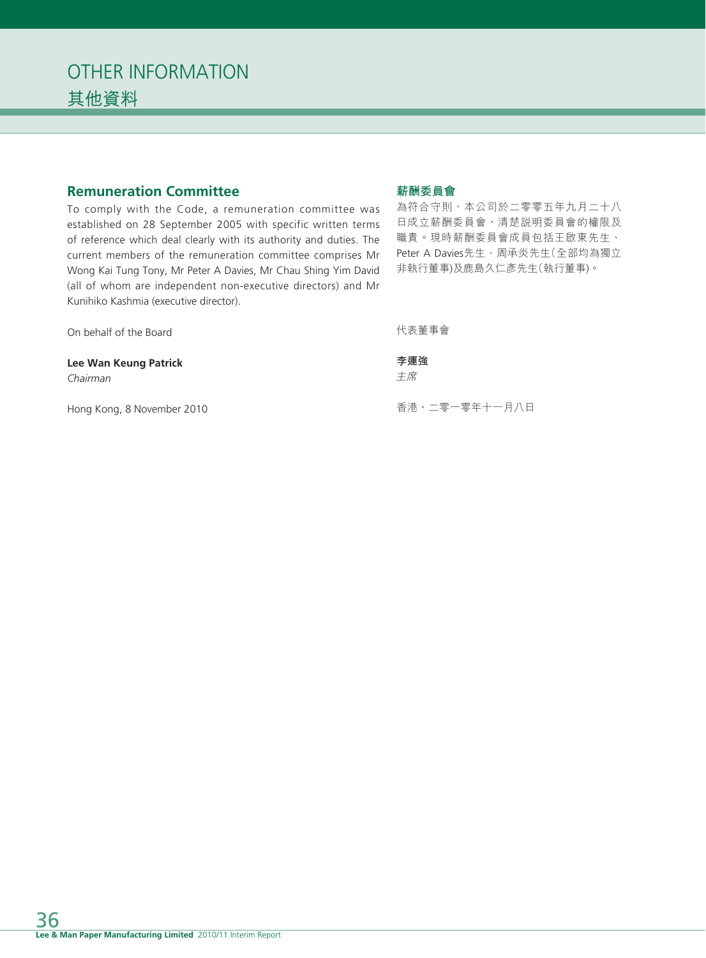# **Remuneration Committee**

To comply with the Code, a remuneration committee was established on 28 September 2005 with specific written terms of reference which deal clearly with its authority and duties. The current members of the remuneration committee comprises Mr Wong Kai Tung Tony, Mr Peter A Davies, Mr Chau Shing Yim David (all of whom are independent non-executive directors) and Mr Kunihiko Kashmia (executive director).

#### **薪酬委員會**

為符合守則,本公司於二零零五年九月二十八 日成立薪酬委員會,清楚說明委員會的權限及 職責。現時薪酬委員會成員包括王啟東先生、 Peter A Davies先生、周承炎先生(全部均為獨立 非執行董事)及鹿島久仁彥先生(執行董事)。

| On behalf of the Board            | 代表董事會         |
|-----------------------------------|---------------|
| Lee Wan Keung Patrick<br>Chairman | 李運強<br>主席     |
| Hong Kong, 8 November 2010        | 香港,二零一零年十一月八日 |